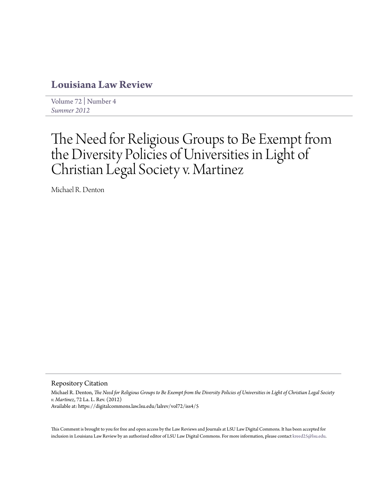# **[Louisiana Law Review](https://digitalcommons.law.lsu.edu/lalrev)**

[Volume 72](https://digitalcommons.law.lsu.edu/lalrev/vol72) | [Number 4](https://digitalcommons.law.lsu.edu/lalrev/vol72/iss4) *[Summer 2012](https://digitalcommons.law.lsu.edu/lalrev/vol72/iss4)*

# The Need for Religious Groups to Be Exempt from the Diversity Policies of Universities in Light of Christian Legal Society v. Martinez

Michael R. Denton

Repository Citation

Michael R. Denton, *The Need for Religious Groups to Be Exempt from the Diversity Policies of Universities in Light of Christian Legal Society v. Martinez*, 72 La. L. Rev. (2012) Available at: https://digitalcommons.law.lsu.edu/lalrev/vol72/iss4/5

This Comment is brought to you for free and open access by the Law Reviews and Journals at LSU Law Digital Commons. It has been accepted for inclusion in Louisiana Law Review by an authorized editor of LSU Law Digital Commons. For more information, please contact [kreed25@lsu.edu](mailto:kreed25@lsu.edu).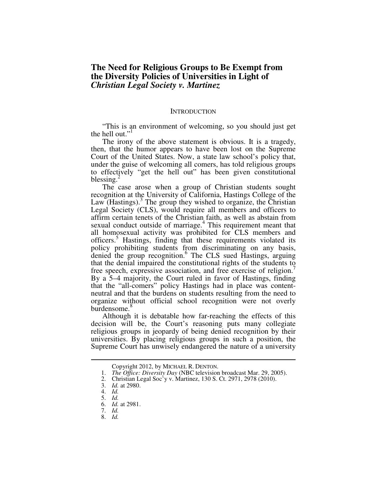# **The Need for Religious Groups to Be Exempt from the Diversity Policies of Universities in Light of**  *Christian Legal Society v. Martinez*

#### **INTRODUCTION**

"This is an environment of welcoming, so you should just get the hell out.'

The irony of the above statement is obvious. It is a tragedy, then, that the humor appears to have been lost on the Supreme Court of the United States. Now, a state law school's policy that, under the guise of welcoming all comers, has told religious groups to effectively "get the hell out" has been given constitutional blessing.

The case arose when a group of Christian students sought recognition at the University of California, Hastings College of the Law (Hastings).<sup>3</sup> The group they wished to organize, the Christian Legal Society (CLS), would require all members and officers to affirm certain tenets of the Christian faith, as well as abstain from sexual conduct outside of marriage.<sup>4</sup> This requirement meant that all homosexual activity was prohibited for CLS members and officers.<sup>5</sup> Hastings, finding that these requirements violated its policy prohibiting students from discriminating on any basis, denied the group recognition.<sup>6</sup> The CLS sued Hastings, arguing that the denial impaired the constitutional rights of the students to free speech, expressive association, and free exercise of religion.<sup>7</sup> By a 5–4 majority, the Court ruled in favor of Hastings, finding that the "all-comers" policy Hastings had in place was contentneutral and that the burdens on students resulting from the need to organize without official school recognition were not overly burdensome.<sup>9</sup>

Although it is debatable how far-reaching the effects of this decision will be, the Court's reasoning puts many collegiate religious groups in jeopardy of being denied recognition by their universities. By placing religious groups in such a position, the Supreme Court has unwisely endangered the nature of a university

Copyright 2012, by MICHAEL R. DENTON.

 <sup>1.</sup> *The Office: Diversity Day* (NBC television broadcast Mar. 29, 2005).

 <sup>2.</sup> Christian Legal Soc'y v. Martinez, 130 S. Ct. 2971, 2978 (2010).

 <sup>3.</sup> *Id.* at 2980.

 <sup>4.</sup> *Id.*

 <sup>5.</sup> *Id.*

 <sup>6.</sup> *Id.* at 2981.

 <sup>7.</sup> *Id.*

 <sup>8.</sup> *Id.*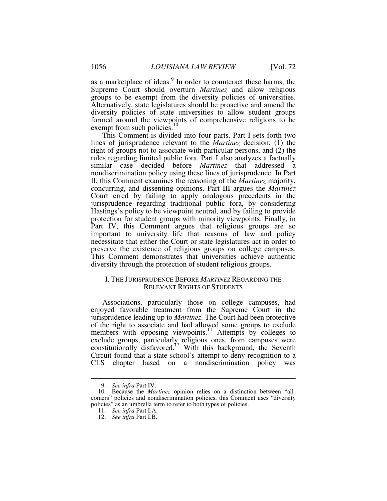as a marketplace of ideas.<sup>9</sup> In order to counteract these harms, the Supreme Court should overturn *Martinez* and allow religious groups to be exempt from the diversity policies of universities. Alternatively, state legislatures should be proactive and amend the diversity policies of state universities to allow student groups formed around the viewpoints of comprehensive religions to be exempt from such policies. $10$ 

This Comment is divided into four parts. Part I sets forth two lines of jurisprudence relevant to the *Martinez* decision: (1) the right of groups not to associate with particular persons, and (2) the rules regarding limited public fora. Part I also analyzes a factually similar case decided before *Martinez* that addressed a nondiscrimination policy using these lines of jurisprudence. In Part II, this Comment examines the reasoning of the *Martinez* majority, concurring, and dissenting opinions. Part III argues the *Martinez* Court erred by failing to apply analogous precedents in the jurisprudence regarding traditional public fora, by considering Hastings's policy to be viewpoint neutral, and by failing to provide protection for student groups with minority viewpoints. Finally, in Part IV, this Comment argues that religious groups are so important to university life that reasons of law and policy necessitate that either the Court or state legislatures act in order to preserve the existence of religious groups on college campuses. This Comment demonstrates that universities achieve authentic diversity through the protection of student religious groups.

# I. THE JURISPRUDENCE BEFORE *MARTINEZ* REGARDING THE RELEVANT RIGHTS OF STUDENTS

Associations, particularly those on college campuses, had enjoyed favorable treatment from the Supreme Court in the jurisprudence leading up to *Martinez*. The Court had been protective of the right to associate and had allowed some groups to exclude members with opposing viewpoints.<sup>11</sup> Attempts by colleges to exclude groups, particularly religious ones, from campuses were constitutionally disfavored.<sup>12</sup> With this background, the Seventh Circuit found that a state school's attempt to deny recognition to a CLS chapter based on a nondiscrimination policy was

 <sup>9.</sup> *See infra* Part IV.

 <sup>10.</sup> Because the *Martinez* opinion relies on a distinction between "allcomers" policies and nondiscrimination policies, this Comment uses "diversity policies" as an umbrella term to refer to both types of policies.

 <sup>11.</sup> *See infra* Part I.A.

 <sup>12.</sup> *See infra* Part I.B.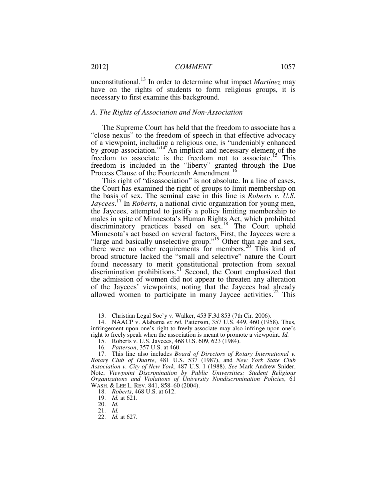unconstitutional.<sup>13</sup> In order to determine what impact *Martinez* may have on the rights of students to form religious groups, it is necessary to first examine this background.

# *A. The Rights of Association and Non-Association*

The Supreme Court has held that the freedom to associate has a "close nexus" to the freedom of speech in that effective advocacy of a viewpoint, including a religious one, is "undeniably enhanced by group association."<sup>14</sup> An implicit and necessary element of the freedom to associate is the freedom not to associate.<sup>15</sup> This freedom is included in the "liberty" granted through the Due Process Clause of the Fourteenth Amendment.<sup>10</sup>

This right of "disassociation" is not absolute. In a line of cases, the Court has examined the right of groups to limit membership on the basis of sex. The seminal case in this line is *Roberts v. U.S. Jaycees*. <sup>17</sup> In *Roberts*, a national civic organization for young men, the Jaycees, attempted to justify a policy limiting membership to males in spite of Minnesota's Human Rights Act, which prohibited discriminatory practices based on sex.<sup>18</sup> The Court upheld Minnesota's act based on several factors. First, the Jaycees were a "large and basically unselective group."<sup>19</sup> Other than age and sex, there were no other requirements for members.<sup>20</sup> This kind of broad structure lacked the "small and selective" nature the Court found necessary to merit constitutional protection from sexual discrimination prohibitions.<sup>21</sup> Second, the Court emphasized that the admission of women did not appear to threaten any alteration of the Jaycees' viewpoints, noting that the Jaycees had already allowed women to participate in many Jaycee activities.<sup>22</sup> This

 <sup>13.</sup> Christian Legal Soc'y v. Walker, 453 F.3d 853 (7th Cir. 2006).

 <sup>14.</sup> NAACP v. Alabama *ex rel.* Patterson, 357 U.S. 449, 460 (1958). Thus, infringement upon one's right to freely associate may also infringe upon one's right to freely speak when the association is meant to promote a viewpoint. *Id.* 

 <sup>15.</sup> Roberts v. U.S. Jaycees, 468 U.S. 609, 623 (1984).

<sup>16</sup>*. Patterson*, 357 U.S. at 460.

 <sup>17.</sup> This line also includes *Board of Directors of Rotary International v. Rotary Club of Duarte*, 481 U.S. 537 (1987), and *New York State Club Association v. City of New York*, 487 U.S. 1 (1988). *See* Mark Andrew Snider, Note, *Viewpoint Discrimination by Public Universities: Student Religious Organizations and Violations of University Nondiscrimination Policies*, 61 WASH. & LEE L. REV. 841, 858–60 (2004).

 <sup>18.</sup> *Roberts*, 468 U.S. at 612.

 <sup>19.</sup> *Id.* at 621.

 <sup>20.</sup> *Id.*

 <sup>21.</sup> *Id.*

 <sup>22.</sup> *Id.* at 627.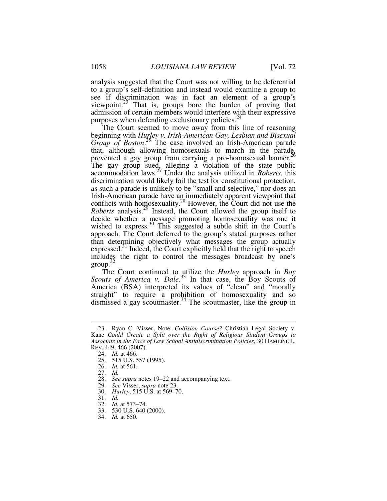analysis suggested that the Court was not willing to be deferential to a group's self-definition and instead would examine a group to see if discrimination was in fact an element of a group's viewpoint. $^{23}$  That is, groups bore the burden of proving that admission of certain members would interfere with their expressive purposes when defending exclusionary policies. $^{24}$ 

The Court seemed to move away from this line of reasoning beginning with *Hurley v. Irish-American Gay, Lesbian and Bisexual*  Group of Boston.<sup>25</sup> The case involved an Irish-American parade that, although allowing homosexuals to march in the parade, prevented a gay group from carrying a pro-homosexual banner.<sup>26</sup> The gay group sued, alleging a violation of the state public accommodation laws.<sup>27</sup> Under the analysis utilized in *Roberts*, this discrimination would likely fail the test for constitutional protection, as such a parade is unlikely to be "small and selective," nor does an Irish-American parade have an immediately apparent viewpoint that conflicts with homosexuality.<sup>28</sup> However, the Court did not use the *Roberts* analysis.<sup>29</sup> Instead, the Court allowed the group itself to decide whether a message promoting homosexuality was one it wished to express.<sup>30</sup> This suggested a subtle shift in the Court's approach. The Court deferred to the group's stated purposes rather than determining objectively what messages the group actually expressed. $31$  Indeed, the Court explicitly held that the right to speech includes the right to control the messages broadcast by one's  $\mathsf{group}^3$ 

The Court continued to utilize the *Hurley* approach in *Boy*  Scouts of America v. Dale.<sup>33</sup> In that case, the Boy Scouts of America (BSA) interpreted its values of "clean" and "morally straight" to require a prohibition of homosexuality and so dismissed a gay scoutmaster.<sup>34</sup> The scoutmaster, like the group in

 <sup>23.</sup> Ryan C. Visser, Note, *Collision Course?* Christian Legal Society v. Kane *Could Create a Split over the Right of Religious Student Groups to Associate in the Face of Law School Antidiscrimination Policies*, 30 HAMLINE L. REV. 449, 466 (2007).

 <sup>24.</sup> *Id.* at 466.

 <sup>25. 515</sup> U.S. 557 (1995).

 <sup>26.</sup> *Id.* at 561.

 <sup>27.</sup> *Id.*

 <sup>28.</sup> *See supra* notes 19–22 and accompanying text.

 <sup>29.</sup> *See* Visser, *supra* note 23.

 <sup>30.</sup> *Hurley*, 515 U.S. at 569–70.

 <sup>31.</sup> *Id.*

 <sup>32.</sup> *Id.* at 573–74.

 <sup>33. 530</sup> U.S. 640 (2000).

 <sup>34.</sup> *Id.* at 650.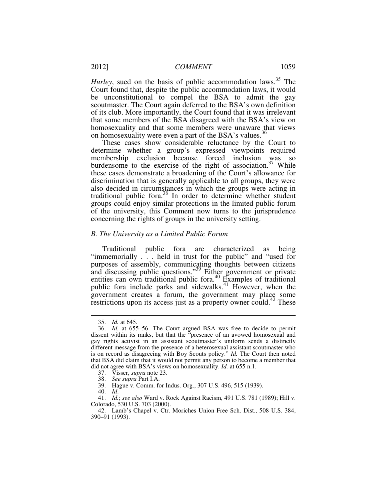*Hurley*, sued on the basis of public accommodation laws.<sup>35</sup> The Court found that, despite the public accommodation laws, it would be unconstitutional to compel the BSA to admit the gay scoutmaster. The Court again deferred to the BSA's own definition of its club. More importantly, the Court found that it was irrelevant that some members of the BSA disagreed with the BSA's view on homosexuality and that some members were unaware that views on homosexuality were even a part of the BSA's values.<sup>36</sup>

These cases show considerable reluctance by the Court to determine whether a group's expressed viewpoints required membership exclusion because forced inclusion was so burdensome to the exercise of the right of association.<sup>37</sup> While these cases demonstrate a broadening of the Court's allowance for discrimination that is generally applicable to all groups, they were also decided in circumstances in which the groups were acting in traditional public fora.<sup>38</sup> In order to determine whether student groups could enjoy similar protections in the limited public forum of the university, this Comment now turns to the jurisprudence concerning the rights of groups in the university setting.

#### *B. The University as a Limited Public Forum*

Traditional public fora are characterized as being "immemorially . . . held in trust for the public" and "used for purposes of assembly, communicating thoughts between citizens and discussing public questions."<sup>39</sup> Either government or private entities can own traditional public fora.<sup>40</sup> Examples of traditional public fora include parks and sidewalks.<sup>41</sup> However, when the government creates a forum, the government may place some restrictions upon its access just as a property owner could.<sup>42</sup> These

-

38. *See supra* Part I.A.

 <sup>35.</sup> *Id.* at 645.

 <sup>36.</sup> *Id.* at 655–56. The Court argued BSA was free to decide to permit dissent within its ranks, but that the "presence of an avowed homosexual and gay rights activist in an assistant scoutmaster's uniform sends a distinctly different message from the presence of a heterosexual assistant scoutmaster who is on record as disagreeing with Boy Scouts policy." *Id.* The Court then noted that BSA did claim that it would not permit any person to become a member that did not agree with BSA's views on homosexuality. *Id.* at 655 n.1.

 <sup>37.</sup> Visser, *supra* note 23.

 <sup>39.</sup> Hague v. Comm. for Indus. Org., 307 U.S. 496, 515 (1939).

 <sup>40.</sup> *Id*.

 <sup>41.</sup> *Id.*; *see also* Ward v. Rock Against Racism, 491 U.S. 781 (1989); Hill v. Colorado, 530 U.S. 703 (2000).

 <sup>42.</sup> Lamb's Chapel v. Ctr. Moriches Union Free Sch. Dist., 508 U.S. 384, 390–91 (1993).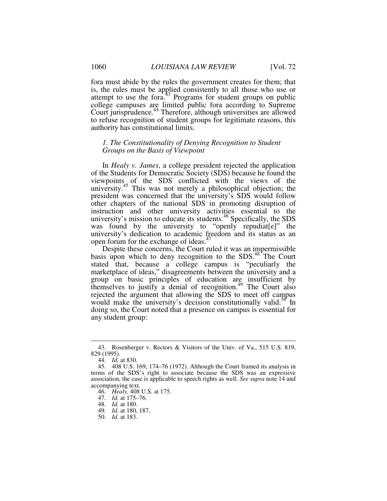fora must abide by the rules the government creates for them; that is, the rules must be applied consistently to all those who use or attempt to use the fora.<sup>43</sup> Programs for student groups on public college campuses are limited public fora according to Supreme Court jurisprudence.<sup>44</sup> Therefore, although universities are allowed to refuse recognition of student groups for legitimate reasons, this authority has constitutional limits.

# *1. The Constitutionality of Denying Recognition to Student Groups on the Basis of Viewpoint*

In *Healy v. James*, a college president rejected the application of the Students for Democratic Society (SDS) because he found the viewpoints of the SDS conflicted with the views of the university.<sup>45</sup> This was not merely a philosophical objection; the president was concerned that the university's SDS would follow other chapters of the national SDS in promoting disruption of instruction and other university activities essential to the university's mission to educate its students.<sup>46</sup> Specifically, the SDS was found by the university to "openly repudiatel" the university's dedication to academic freedom and its status as an open forum for the exchange of ideas.<sup>47</sup>

Despite these concerns, the Court ruled it was an impermissible basis upon which to deny recognition to the SDS.<sup>48</sup> The Court stated that, because a college campus is "peculiarly the marketplace of ideas," disagreements between the university and a group on basic principles of education are insufficient by themselves to justify a denial of recognition.<sup>49</sup> The Court also rejected the argument that allowing the SDS to meet off campus would make the university's decision constitutionally valid.<sup>50</sup> In doing so, the Court noted that a presence on campus is essential for any student group:

 <sup>43.</sup> Rosenberger v. Rectors & Visitors of the Univ. of Va., 515 U.S. 819, 829 (1995).

 <sup>44.</sup> *Id.* at 830.

 <sup>45. 408</sup> U.S. 169, 174–76 (1972). Although the Court framed its analysis in terms of the SDS's right to associate because the SDS was an expressive association, the case is applicable to speech rights as well. *See supra* note 14 and accompanying text.

 <sup>46.</sup> *Healy*, 408 U.S. at 175.

 <sup>47.</sup> *Id.* at 175–76.

 <sup>48.</sup> *Id.* at 180.

 <sup>49.</sup> *Id.* at 180, 187.

 <sup>50.</sup> *Id.* at 183.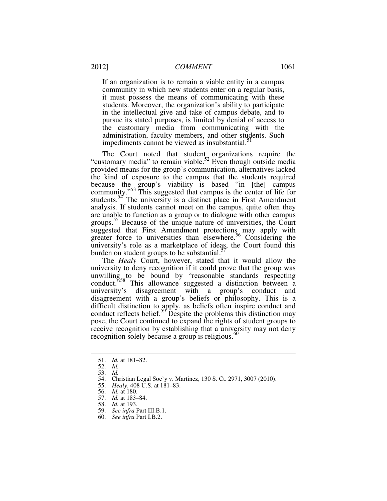If an organization is to remain a viable entity in a campus community in which new students enter on a regular basis, it must possess the means of communicating with these students. Moreover, the organization's ability to participate in the intellectual give and take of campus debate, and to pursue its stated purposes, is limited by denial of access to the customary media from communicating with the administration, faculty members, and other students. Such impediments cannot be viewed as insubstantial.<sup>51</sup>

The Court noted that student organizations require the "customary media" to remain viable.<sup>52</sup> Even though outside media provided means for the group's communication, alternatives lacked the kind of exposure to the campus that the students required because the group's viability is based "in [the] campus community."<sup>53</sup> This suggested that campus is the center of life for students.<sup>54</sup> The university is a distinct place in First Amendment analysis. If students cannot meet on the campus, quite often they are unable to function as a group or to dialogue with other campus groups.<sup>35</sup> Because of the unique nature of universities, the Court suggested that First Amendment protections may apply with greater force to universities than elsewhere.<sup>56</sup> Considering the university's role as a marketplace of ideas, the Court found this burden on student groups to be substantial. $\frac{3}{7}$ 

The *Healy* Court, however, stated that it would allow the university to deny recognition if it could prove that the group was unwilling to be bound by "reasonable standards respecting conduct."<sup>58</sup> This allowance suggested a distinction between a university's disagreement with a group's conduct and disagreement with a group's beliefs or philosophy. This is a difficult distinction to apply, as beliefs often inspire conduct and conduct reflects belief.<sup>59</sup> Despite the problems this distinction may pose, the Court continued to expand the rights of student groups to receive recognition by establishing that a university may not deny recognition solely because a group is religious.<sup>60</sup>

 <sup>51.</sup> *Id.* at 181–82.

 <sup>52.</sup> *Id.*

 <sup>53.</sup> *Id.*

 <sup>54.</sup> Christian Legal Soc'y v. Martinez, 130 S. Ct. 2971, 3007 (2010).

 <sup>55.</sup> *Healy*, 408 U.S. at 181–83.

 <sup>56.</sup> *Id.* at 180.

 <sup>57.</sup> *Id.* at 183–84.

 <sup>58.</sup> *Id.* at 193.

 <sup>59.</sup> *See infra* Part III.B.1.

 <sup>60.</sup> *See infra* Part I.B.2.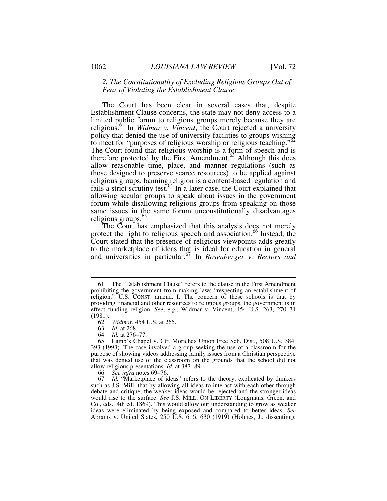# *2. The Constitutionality of Excluding Religious Groups Out of Fear of Violating the Establishment Clause*

The Court has been clear in several cases that, despite Establishment Clause concerns, the state may not deny access to a limited public forum to religious groups merely because they are religious.<sup>61</sup> In *Widmar v. Vincent*, the Court rejected a university policy that denied the use of university facilities to groups wishing to meet for "purposes of religious worship or religious teaching."<sup>62</sup> The Court found that religious worship is a form of speech and is therefore protected by the First Amendment.<sup>63</sup> Although this does allow reasonable time, place, and manner regulations (such as those designed to preserve scarce resources) to be applied against religious groups, banning religion is a content-based regulation and fails a strict scrutiny test.<sup>64</sup> In a later case, the Court explained that allowing secular groups to speak about issues in the government forum while disallowing religious groups from speaking on those same issues in the same forum unconstitutionally disadvantages religious groups.<sup>65</sup>

The Court has emphasized that this analysis does not merely protect the right to religious speech and association.<sup>66</sup> Instead, the Court stated that the presence of religious viewpoints adds greatly to the marketplace of ideas that is ideal for education in general and universities in particular.<sup>67</sup> In *Rosenberger v. Rectors and* 

 <sup>61.</sup> The "Establishment Clause" refers to the clause in the First Amendment prohibiting the government from making laws "respecting an establishment of religion." U.S. CONST. amend. I. The concern of these schools is that by providing financial and other resources to religious groups, the government is in effect funding religion. *See*, *e.g.*, Widmar v. Vincent, 454 U.S. 263, 270–71 (1981).

 <sup>62.</sup> *Widmar*, 454 U.S. at 265.

 <sup>63.</sup> *Id.* at 268.

 <sup>64.</sup> *Id.* at 276–77.

 <sup>65.</sup> Lamb's Chapel v. Ctr. Moriches Union Free Sch. Dist., 508 U.S. 384, 393 (1993). The case involved a group seeking the use of a classroom for the purpose of showing videos addressing family issues from a Christian perspective that was denied use of the classroom on the grounds that the school did not allow religious presentations. *Id.* at 387–89.

 <sup>66.</sup> *See infra* notes 69–76.

 <sup>67.</sup> *Id.* "Marketplace of ideas" refers to the theory, explicated by thinkers such as J.S. Mill, that by allowing all ideas to interact with each other through debate and critique, the weaker ideas would be rejected and the stronger ideas would rise to the surface. *See* J.S. MILL, ON LIBERTY (Longmans, Green, and Co., eds., 4th ed. 1869). This would allow our understanding to grow as weaker ideas were eliminated by being exposed and compared to better ideas. *See* Abrams v. United States, 250 U.S. 616, 630 (1919) (Holmes, J., dissenting);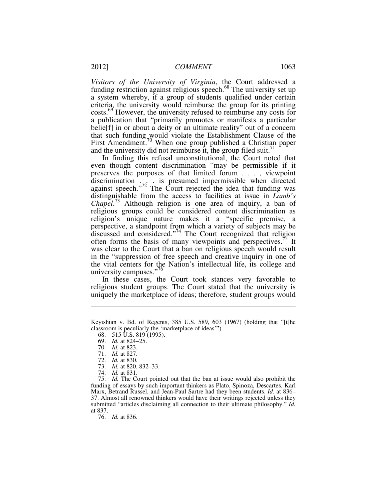*Visitors of the University of Virginia*, the Court addressed a funding restriction against religious speech.<sup>68</sup> The university set up a system whereby, if a group of students qualified under certain criteria, the university would reimburse the group for its printing costs.<sup>69</sup> However, the university refused to reimburse any costs for a publication that "primarily promotes or manifests a particular belie[f] in or about a deity or an ultimate reality" out of a concern that such funding would violate the Establishment Clause of the First Amendment.<sup>70</sup> When one group published a Christian paper and the university did not reimburse it, the group filed suit.<sup>71</sup>

In finding this refusal unconstitutional, the Court noted that even though content discrimination "may be permissible if it preserves the purposes of that limited forum . . . , viewpoint discrimination  $\mathcal{L}_{\text{tot}}$  is presumed impermissible when directed against speech."<sup>72</sup> The Court rejected the idea that funding was distinguishable from the access to facilities at issue in *Lamb's Chapel*. <sup>73</sup> Although religion is one area of inquiry, a ban of religious groups could be considered content discrimination as religion's unique nature makes it a "specific premise, a perspective, a standpoint from which a variety of subjects may be discussed and considered."<sup>74</sup> The Court recognized that religion often forms the basis of many viewpoints and perspectives.<sup>75</sup> It was clear to the Court that a ban on religious speech would result in the "suppression of free speech and creative inquiry in one of the vital centers for the Nation's intellectual life, its college and university campuses."<sup>76</sup>

In these cases, the Court took stances very favorable to religious student groups. The Court stated that the university is uniquely the marketplace of ideas; therefore, student groups would

<u>.</u>

 75. *Id.* The Court pointed out that the ban at issue would also prohibit the funding of essays by such important thinkers as Plato, Spinoza, Descartes, Karl Marx, Betrand Russel, and Jean-Paul Sartre had they been students. *Id.* at 836– 37. Almost all renowned thinkers would have their writings rejected unless they submitted "articles disclaiming all connection to their ultimate philosophy." *Id.*  at 837.

76. *Id.* at 836.

Keyishian v. Bd. of Regents, 385 U.S. 589, 603 (1967) (holding that "[t]he classroom is peculiarly the 'marketplace of ideas'").

 <sup>68. 515</sup> U.S. 819 (1995).

 <sup>69.</sup> *Id.* at 824–25.

 <sup>70.</sup> *Id.* at 823.

 <sup>71.</sup> *Id.* at 827.

 <sup>72.</sup> *Id.* at 830.

 <sup>73.</sup> *Id.* at 820, 832–33.

 <sup>74.</sup> *Id.* at 831.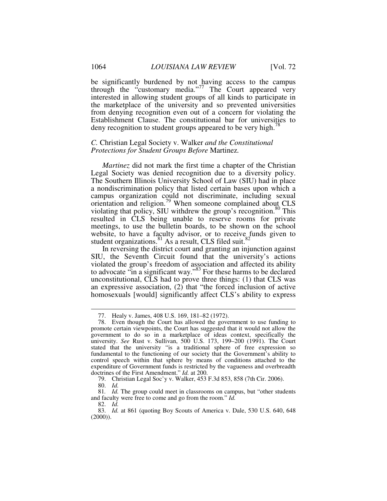be significantly burdened by not having access to the campus through the "customary media."<sup>77</sup> The Court appeared very interested in allowing student groups of all kinds to participate in the marketplace of the university and so prevented universities from denying recognition even out of a concern for violating the Establishment Clause. The constitutional bar for universities to deny recognition to student groups appeared to be very high.<sup>78</sup>

# *C.* Christian Legal Society v. Walker *and the Constitutional Protections for Student Groups Before* Martinez*.*

*Martinez* did not mark the first time a chapter of the Christian Legal Society was denied recognition due to a diversity policy. The Southern Illinois University School of Law (SIU) had in place a nondiscrimination policy that listed certain bases upon which a campus organization could not discriminate, including sexual orientation and religion.<sup>79</sup> When someone complained about CLS violating that policy, SIU withdrew the group's recognition. $80^{\circ}$  This resulted in CLS being unable to reserve rooms for private meetings, to use the bulletin boards, to be shown on the school website, to have a faculty advisor, or to receive funds given to student organizations.<sup>81</sup> As a result, CLS filed suit.<sup>82</sup>

In reversing the district court and granting an injunction against SIU, the Seventh Circuit found that the university's actions violated the group's freedom of association and affected its ability to advocate "in a significant way."<sup>83</sup> For these harms to be declared unconstitutional, CLS had to prove three things: (1) that CLS was an expressive association, (2) that "the forced inclusion of active homosexuals [would] significantly affect CLS's ability to express

79. Christian Legal Soc'y v. Walker, 453 F.3d 853, 858 (7th Cir. 2006).

 <sup>77.</sup> Healy v. James, 408 U.S. 169, 181–82 (1972).

 <sup>78.</sup> Even though the Court has allowed the government to use funding to promote certain viewpoints, the Court has suggested that it would not allow the government to do so in a marketplace of ideas context, specifically the university. *See* Rust v. Sullivan, 500 U.S. 173, 199–200 (1991). The Court stated that the university "is a traditional sphere of free expression so fundamental to the functioning of our society that the Government's ability to control speech within that sphere by means of conditions attached to the expenditure of Government funds is restricted by the vagueness and overbreadth doctrines of the First Amendment." *Id.* at 200.

 <sup>80.</sup> *Id.* 

<sup>81</sup>*. Id.* The group could meet in classrooms on campus, but "other students and faculty were free to come and go from the room." *Id.*

 <sup>82.</sup> *Id.* 

 <sup>83.</sup> *Id.* at 861 (quoting Boy Scouts of America v. Dale, 530 U.S. 640, 648  $(2000)$ ).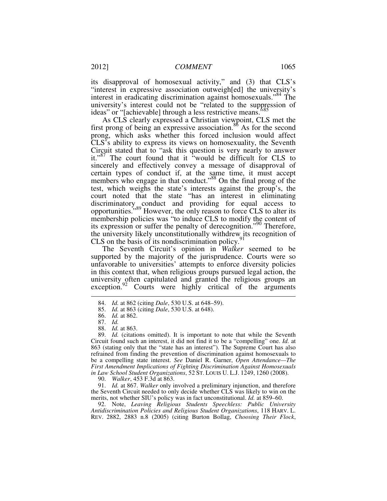its disapproval of homosexual activity," and (3) that CLS's "interest in expressive association outweigh[ed] the university's interest in eradicating discrimination against homosexuals."<sup>84</sup> The university's interest could not be "related to the suppression of ideas" or "[achievable] through a less restrictive means."<sup>85</sup>

As CLS clearly expressed a Christian viewpoint, CLS met the first prong of being an expressive association.<sup>86</sup> As for the second prong, which asks whether this forced inclusion would affect CLS's ability to express its views on homosexuality, the Seventh Circuit stated that to "ask this question is very nearly to answer it."<sup>87</sup> The court found that it "would be difficult for CLS to sincerely and effectively convey a message of disapproval of certain types of conduct if, at the same time, it must accept members who engage in that conduct."<sup>88</sup> On the final prong of the test, which weighs the state's interests against the group's, the court noted that the state "has an interest in eliminating discriminatory conduct and providing for equal access to opportunities."<sup>89</sup> However, the only reason to force CLS to alter its membership policies was "to induce CLS to modify the content of its expression or suffer the penalty of derecognition."<sup>90</sup> Therefore, the university likely unconstitutionally withdrew its recognition of CLS on the basis of its nondiscrimination policy. $91$ 

The Seventh Circuit's opinion in *Walker* seemed to be supported by the majority of the jurisprudence. Courts were so unfavorable to universities' attempts to enforce diversity policies in this context that, when religious groups pursued legal action, the university often capitulated and granted the religious groups an exception. $92$  Courts were highly critical of the arguments

-

90. *Walker*, 453 F.3d at 863.

 91. *Id.* at 867. *Walker* only involved a preliminary injunction, and therefore the Seventh Circuit needed to only decide whether CLS was likely to win on the merits, not whether SIU's policy was in fact unconstitutional. *Id.* at 859–60.

 92. Note, *Leaving Religious Students Speechless: Public University Antidiscrimination Policies and Religious Student Organizations*, 118 HARV. L. REV. 2882, 2883 n.8 (2005) (citing Burton Bollag, *Choosing Their Flock*,

 <sup>84.</sup> *Id.* at 862 (citing *Dale*, 530 U.S. at 648–59).

 <sup>85.</sup> *Id.* at 863 (citing *Dale*, 530 U.S. at 648).

 <sup>86.</sup> *Id.* at 862.

 <sup>87.</sup> *Id.*

 <sup>88.</sup> *Id.* at 863.

 <sup>89.</sup> *Id.* (citations omitted). It is important to note that while the Seventh Circuit found such an interest, it did not find it to be a "compelling" one. *Id.* at 863 (stating only that the "state has an interest"). The Supreme Court has also refrained from finding the prevention of discrimination against homosexuals to be a compelling state interest. *See* Daniel R. Garner, *Open Attendance—The First Amendment Implications of Fighting Discrimination Against Homosexuals in Law School Student Organizations*, 52 ST. LOUIS U. L.J. 1249, 1260 (2008).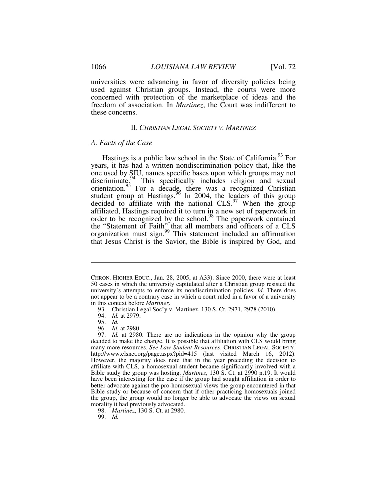universities were advancing in favor of diversity policies being used against Christian groups. Instead, the courts were more concerned with protection of the marketplace of ideas and the freedom of association. In *Martinez*, the Court was indifferent to these concerns.

#### II. *CHRISTIAN LEGAL SOCIETY V. MARTINEZ*

# *A. Facts of the Case*

Hastings is a public law school in the State of California.<sup>93</sup> For years, it has had a written nondiscrimination policy that, like the one used by SIU, names specific bases upon which groups may not discriminate.<sup>94</sup> This specifically includes religion and sexual orientation.<sup>95</sup> For a decade, there was a recognized Christian student group at Hastings.<sup>96</sup> In 2004, the leaders of this group decided to affiliate with the national  $CLS<sup>97</sup>$  When the group affiliated, Hastings required it to turn in a new set of paperwork in order to be recognized by the school.<sup>98</sup> The paperwork contained the "Statement of Faith" that all members and officers of a  $CLS$ organization must sign.<sup>99</sup> This statement included an affirmation that Jesus Christ is the Savior, the Bible is inspired by God, and

CHRON. HIGHER EDUC., Jan. 28, 2005, at A33). Since 2000, there were at least 50 cases in which the university capitulated after a Christian group resisted the university's attempts to enforce its nondiscrimination policies. *Id.* There does not appear to be a contrary case in which a court ruled in a favor of a university in this context before *Martinez*.

 <sup>93.</sup> Christian Legal Soc'y v. Martinez, 130 S. Ct. 2971, 2978 (2010).

 <sup>94.</sup> *Id.* at 2979.

 <sup>95.</sup> *Id.* 

 <sup>96.</sup> *Id.* at 2980.

 <sup>97.</sup> *Id.* at 2980. There are no indications in the opinion why the group decided to make the change. It is possible that affiliation with CLS would bring many more resources. *See Law Student Resources*, CHRISTIAN LEGAL SOCIETY, http://www.clsnet.org/page.aspx?pid=415 (last visited March 16, 2012). However, the majority does note that in the year preceding the decision to affiliate with CLS, a homosexual student became significantly involved with a Bible study the group was hosting. *Martinez*, 130 S. Ct. at 2990 n.19. It would have been interesting for the case if the group had sought affiliation in order to better advocate against the pro-homosexual views the group encountered in that Bible study or because of concern that if other practicing homosexuals joined the group, the group would no longer be able to advocate the views on sexual morality it had previously advocated.

 <sup>98.</sup> *Martinez*, 130 S. Ct. at 2980.

 <sup>99.</sup> *Id.*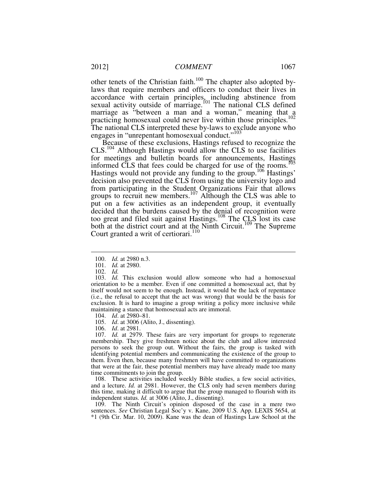other tenets of the Christian faith.<sup>100</sup> The chapter also adopted bylaws that require members and officers to conduct their lives in accordance with certain principles, including abstinence from sexual activity outside of marriage.<sup>101</sup> The national CLS defined marriage as "between a man and a woman," meaning that a practicing homosexual could never live within those principles.<sup>102</sup> The national CLS interpreted these by-laws to exclude anyone who engages in "unrepentant homosexual conduct."<sup>103</sup>

Because of these exclusions, Hastings refused to recognize the CLS.<sup>104</sup> Although Hastings would allow the CLS to use facilities for meetings and bulletin boards for announcements, Hastings informed CLS that fees could be charged for use of the rooms.<sup>105</sup> Hastings would not provide any funding to the group.<sup>106</sup> Hastings' decision also prevented the CLS from using the university logo and from participating in the Student Organizations Fair that allows groups to recruit new members.<sup>107</sup> Although the CLS was able to put on a few activities as an independent group, it eventually decided that the burdens caused by the denial of recognition were too great and filed suit against Hastings.<sup>108</sup> The CLS lost its case both at the district court and at the Ninth Circuit.<sup>109</sup> The Supreme Court granted a writ of certiorari.<sup>110</sup>

-

106. *Id*. at 2981.

 107. *Id.* at 2979. These fairs are very important for groups to regenerate membership. They give freshmen notice about the club and allow interested persons to seek the group out. Without the fairs, the group is tasked with identifying potential members and communicating the existence of the group to them. Even then, because many freshmen will have committed to organizations that were at the fair, these potential members may have already made too many time commitments to join the group.

 108. These activities included weekly Bible studies, a few social activities, and a lecture. *Id.* at 2981. However, the CLS only had seven members during this time, making it difficult to argue that the group managed to flourish with its independent status. *Id.* at 3006 (Alito, J., dissenting).

 109. The Ninth Circuit's opinion disposed of the case in a mere two sentences. *See* Christian Legal Soc'y v. Kane, 2009 U.S. App. LEXIS 5654, at \*1 (9th Cir. Mar. 10, 2009). Kane was the dean of Hastings Law School at the

 <sup>100.</sup> *Id.* at 2980 n.3.

 <sup>101.</sup> *Id.* at 2980.

 <sup>102.</sup> *Id.*

 <sup>103.</sup> *Id.* This exclusion would allow someone who had a homosexual orientation to be a member. Even if one committed a homosexual act, that by itself would not seem to be enough. Instead, it would be the lack of repentance (i.e., the refusal to accept that the act was wrong) that would be the basis for exclusion. It is hard to imagine a group writing a policy more inclusive while maintaining a stance that homosexual acts are immoral.

 <sup>104.</sup> *Id*. at 2980–81.

 <sup>105.</sup> *Id*. at 3006 (Alito, J., dissenting).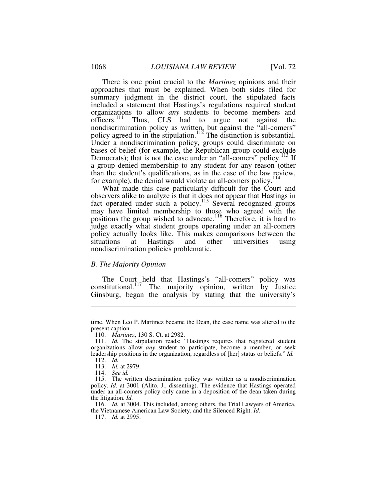There is one point crucial to the *Martinez* opinions and their approaches that must be explained. When both sides filed for summary judgment in the district court, the stipulated facts included a statement that Hastings's regulations required student organizations to allow *any* students to become members and officers.<sup>111</sup> Thus, CLS had to argue not against the nondiscrimination policy as written, but against the "all-comers" policy agreed to in the stipulation.<sup>112</sup> The distinction is substantial. Under a nondiscrimination policy, groups could discriminate on bases of belief (for example, the Republican group could exclude Democrats); that is not the case under an "all-comers" policy.<sup>113</sup> If a group denied membership to any student for any reason (other than the student's qualifications, as in the case of the law review, for example), the denial would violate an all-comers policy.<sup>114</sup>

What made this case particularly difficult for the Court and observers alike to analyze is that it does not appear that Hastings in fact operated under such a policy.<sup>115</sup> Several recognized groups may have limited membership to those who agreed with the positions the group wished to advocate.<sup>116</sup> Therefore, it is hard to judge exactly what student groups operating under an all-comers policy actually looks like. This makes comparisons between the situations at Hastings and other universities using nondiscrimination policies problematic.

#### *B. The Majority Opinion*

The Court held that Hastings's "all-comers" policy was constitutional.<sup>117</sup> The majority opinion, written by Justice Ginsburg, began the analysis by stating that the university's

<u>.</u>

 116. *Id.* at 3004. This included, among others, the Trial Lawyers of America, the Vietnamese American Law Society, and the Silenced Right. *Id.*

time. When Leo P. Martinez became the Dean, the case name was altered to the present caption.

 <sup>110.</sup> *Martinez*, 130 S. Ct. at 2982.

 <sup>111.</sup> *Id.* The stipulation reads: "Hastings requires that registered student organizations allow *any* student to participate, become a member, or seek leadership positions in the organization, regardless of [her] status or beliefs." *Id.* 112. *Id.*

 <sup>113.</sup> *Id.* at 2979.

 <sup>114.</sup> *See id.*

 <sup>115.</sup> The written discrimination policy was written as a nondiscrimination policy. *Id.* at 3001 (Alito, J., dissenting). The evidence that Hastings operated under an all-comers policy only came in a deposition of the dean taken during the litigation. *Id.* 

 <sup>117.</sup> *Id.* at 2995.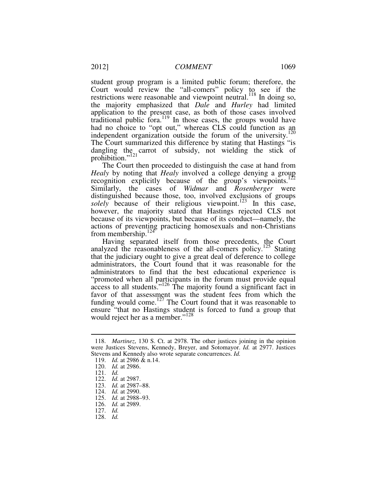student group program is a limited public forum; therefore, the Court would review the "all-comers" policy to see if the restrictions were reasonable and viewpoint neutral.<sup>118</sup> In doing so, the majority emphasized that *Dale* and *Hurley* had limited application to the present case, as both of those cases involved traditional public fora.<sup>119</sup> In those cases, the groups would have had no choice to "opt out," whereas CLS could function as an independent organization outside the forum of the university. $120$ The Court summarized this difference by stating that Hastings "is dangling the carrot of subsidy, not wielding the stick of prohibition."<sup>121</sup>

The Court then proceeded to distinguish the case at hand from *Healy* by noting that *Healy* involved a college denying a group recognition explicitly because of the group's viewpoints.<sup>12</sup> Similarly, the cases of *Widmar* and *Rosenberger* were distinguished because those, too, involved exclusions of groups *solely* because of their religious viewpoint.<sup>123</sup> In this case, however, the majority stated that Hastings rejected CLS not because of its viewpoints, but because of its conduct—namely, the actions of preventing practicing homosexuals and non-Christians from membership. $124$ 

Having separated itself from those precedents, the Court analyzed the reasonableness of the all-comers policy.<sup>125</sup> Stating that the judiciary ought to give a great deal of deference to college administrators, the Court found that it was reasonable for the administrators to find that the best educational experience is "promoted when all participants in the forum must provide equal access to all students."<sup>126</sup> The majority found a significant fact in favor of that assessment was the student fees from which the funding would come.<sup>127</sup> The Court found that it was reasonable to ensure "that no Hastings student is forced to fund a group that would reject her as a member."<sup>128</sup>

 <sup>118.</sup> *Martinez*, 130 S. Ct. at 2978. The other justices joining in the opinion were Justices Stevens, Kennedy, Breyer, and Sotomayor. *Id.* at 2977. Justices Stevens and Kennedy also wrote separate concurrences. *Id.*

 <sup>119.</sup> *Id.* at 2986 & n.14.

 <sup>120.</sup> *Id.* at 2986.

 <sup>121.</sup> *Id.*

 <sup>122.</sup> *Id.* at 2987.

 <sup>123.</sup> *Id.* at 2987–88.

 <sup>124.</sup> *Id.* at 2990.

 <sup>125.</sup> *Id.* at 2988–93.

 <sup>126.</sup> *Id.* at 2989.

 <sup>127.</sup> *Id.*

 <sup>128.</sup> *Id.*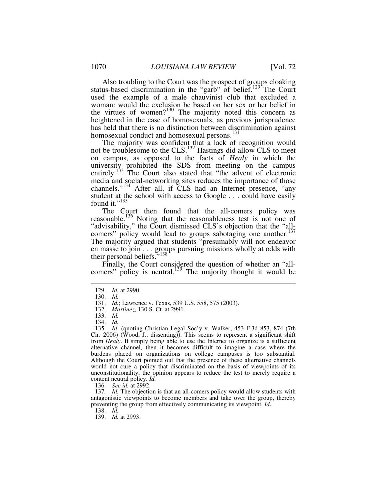Also troubling to the Court was the prospect of groups cloaking status-based discrimination in the "garb" of belief.<sup>129</sup> The Court used the example of a male chauvinist club that excluded a woman: would the exclusion be based on her sex or her belief in the virtues of women?<sup>130</sup> The majority noted this concern as heightened in the case of homosexuals, as previous jurisprudence has held that there is no distinction between discrimination against homosexual conduct and homosexual persons.<sup>131</sup>

The majority was confident that a lack of recognition would not be troublesome to the CLS.<sup>132</sup> Hastings did allow CLS to meet on campus, as opposed to the facts of *Healy* in which the university, prohibited the SDS from meeting on the campus entirely.<sup>133</sup> The Court also stated that "the advent of electronic media and social-networking sites reduces the importance of those channels."<sup>134</sup> After all, if CLS had an Internet presence, "any student at the school with access to Google . . . could have easily found it."<sup>135</sup>

The Court then found that the all-comers policy was reasonable.<sup>136</sup> Noting that the reasonableness test is not one of "advisability," the Court dismissed CLS's objection that the "allcomers" policy would lead to groups sabotaging one another.<sup>137</sup> The majority argued that students "presumably will not endeavor en masse to join . . . groups pursuing missions wholly at odds with their personal beliefs."<sup>138</sup>

Finally, the Court considered the question of whether an "allcomers" policy is neutral.<sup>139</sup> The majority thought it would be

 $\overline{a}$ 

136. *See id.* at 2992.

137*. Id.* The objection is that an all-comers policy would allow students with antagonistic viewpoints to become members and take over the group, thereby preventing the group from effectively communicating its viewpoint. *Id*.

138. *Id.*

139. *Id.* at 2993.

 <sup>129.</sup> *Id.* at 2990.

 <sup>130.</sup> *Id.*

 <sup>131.</sup> *Id.*; Lawrence v. Texas, 539 U.S. 558, 575 (2003).

 <sup>132.</sup> *Martinez*, 130 S. Ct. at 2991.

 <sup>133.</sup> *Id.* 

 <sup>134.</sup> *Id.* 

 <sup>135.</sup> *Id.* (quoting Christian Legal Soc'y v. Walker, 453 F.3d 853, 874 (7th Cir. 2006) (Wood, J., dissenting)). This seems to represent a significant shift from *Healy*. If simply being able to use the Internet to organize is a sufficient alternative channel, then it becomes difficult to imagine a case where the burdens placed on organizations on college campuses is too substantial. Although the Court pointed out that the presence of these alternative channels would not cure a policy that discriminated on the basis of viewpoints of its unconstitutionality, the opinion appears to reduce the test to merely require a content neutral policy. *Id.*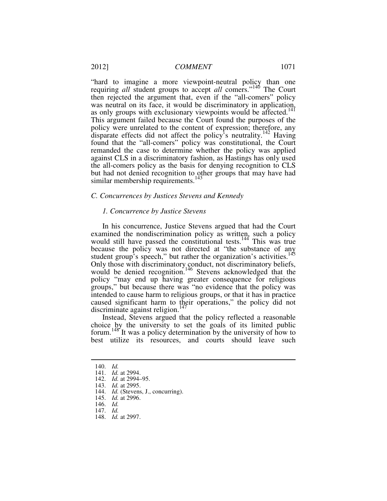"hard to imagine a more viewpoint-neutral policy than one requiring *all* student groups to accept *all* comers."<sup>140</sup> The Court then rejected the argument that, even if the "all-comers" policy was neutral on its face, it would be discriminatory in application, as only groups with exclusionary viewpoints would be affected.<sup>141</sup> This argument failed because the Court found the purposes of the policy were unrelated to the content of expression; therefore, any disparate effects did not affect the policy's neutrality.<sup>142</sup> Having found that the "all-comers" policy was constitutional, the Court remanded the case to determine whether the policy was applied against CLS in a discriminatory fashion, as Hastings has only used the all-comers policy as the basis for denying recognition to CLS but had not denied recognition to other groups that may have had similar membership requirements.<sup>143</sup>

#### *C. Concurrences by Justices Stevens and Kennedy*

#### *1. Concurrence by Justice Stevens*

In his concurrence, Justice Stevens argued that had the Court examined the nondiscrimination policy as written, such a policy would still have passed the constitutional tests.<sup>144</sup> This was true because the policy was not directed at "the substance of any student group's speech," but rather the organization's activities.<sup>145</sup> Only those with discriminatory conduct, not discriminatory beliefs, would be denied recognition.<sup>146</sup> Stevens acknowledged that the policy "may end up having greater consequence for religious groups," but because there was "no evidence that the policy was intended to cause harm to religious groups, or that it has in practice caused significant harm to their operations," the policy did not discriminate against religion.<sup>147</sup>

Instead, Stevens argued that the policy reflected a reasonable choice by the university to set the goals of its limited public forum.<sup>148</sup> It was a policy determination by the university of how to best utilize its resources, and courts should leave such

 $\overline{a}$ 

148. *Id.* at 2997.

 <sup>140.</sup> *Id.*

 <sup>141.</sup> *Id.* at 2994.

 <sup>142.</sup> *Id.* at 2994–95.

 <sup>143.</sup> *Id.* at 2995.

 <sup>144.</sup> *Id.* (Stevens, J., concurring).

 <sup>145.</sup> *Id.* at 2996.

 <sup>146.</sup> *Id.*

 <sup>147.</sup> *Id.*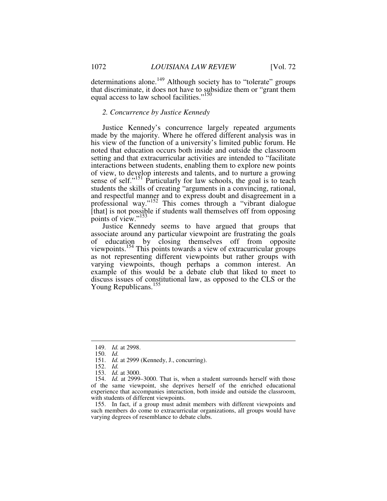determinations alone.<sup>149</sup> Although society has to "tolerate" groups that discriminate, it does not have to subsidize them or "grant them equal access to law school facilities."<sup>150</sup>

# *2. Concurrence by Justice Kennedy*

Justice Kennedy's concurrence largely repeated arguments made by the majority. Where he offered different analysis was in his view of the function of a university's limited public forum. He noted that education occurs both inside and outside the classroom setting and that extracurricular activities are intended to "facilitate interactions between students, enabling them to explore new points of view, to develop interests and talents, and to nurture a growing sense of self."<sup>151</sup> Particularly for law schools, the goal is to teach students the skills of creating "arguments in a convincing, rational, and respectful manner and to express doubt and disagreement in a professional way."<sup>152</sup> This comes through a "vibrant dialogue [that] is not possible if students wall themselves off from opposing points of view."<sup>153</sup>

Justice Kennedy seems to have argued that groups that associate around any particular viewpoint are frustrating the goals of education by closing themselves off from opposite viewpoints.<sup>154</sup> This points towards a view of extracurricular groups as not representing different viewpoints but rather groups with varying viewpoints, though perhaps a common interest. An example of this would be a debate club that liked to meet to discuss issues of constitutional law, as opposed to the CLS or the Young Republicans.<sup>155</sup>

 <sup>149.</sup> *Id.* at 2998.

 <sup>150.</sup> *Id.*

 <sup>151.</sup> *Id.* at 2999 (Kennedy, J., concurring).

 <sup>152.</sup> *Id.*

 <sup>153.</sup> *Id.* at 3000.

 <sup>154.</sup> *Id.* at 2999–3000. That is, when a student surrounds herself with those of the same viewpoint, she deprives herself of the enriched educational experience that accompanies interaction, both inside and outside the classroom, with students of different viewpoints.

 <sup>155.</sup> In fact, if a group must admit members with different viewpoints and such members do come to extracurricular organizations, all groups would have varying degrees of resemblance to debate clubs.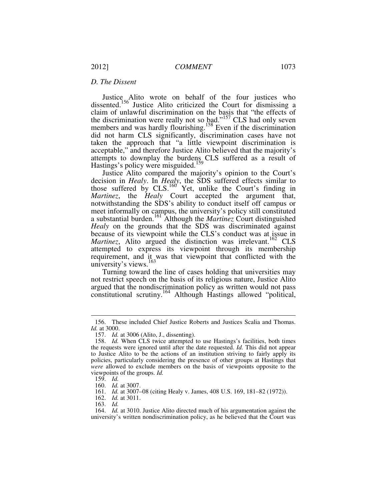# *D. The Dissent*

Justice Alito wrote on behalf of the four justices who dissented.<sup>156</sup> Justice Alito criticized the Court for dismissing a claim of unlawful discrimination on the basis that "the effects of the discrimination were really not so  $b$ ad."<sup>157</sup> CLS had only seven members and was hardly flourishing.<sup>158</sup> Even if the discrimination did not harm CLS significantly, discrimination cases have not taken the approach that "a little viewpoint discrimination is acceptable," and therefore Justice Alito believed that the majority's attempts to downplay the burdens. CLS suffered as a result of Hastings's policy were misguided.<sup>159</sup>

Justice Alito compared the majority's opinion to the Court's decision in *Healy*. In *Healy*, the SDS suffered effects similar to those suffered by CLS.<sup>160</sup> Yet, unlike the Court's finding in *Martinez*, the *Healy* Court accepted the argument that, notwithstanding the SDS's ability to conduct itself off campus or meet informally on campus, the university's policy still constituted a substantial burden.<sup>161</sup> Although the *Martinez* Court distinguished *Healy* on the grounds that the SDS was discriminated against because of its viewpoint while the CLS's conduct was at issue in *Martinez*, Alito argued the distinction was irrelevant.<sup>162</sup> CLS attempted to express its viewpoint through its membership requirement, and it was that viewpoint that conflicted with the university's views.<sup>163</sup>

Turning toward the line of cases holding that universities may not restrict speech on the basis of its religious nature, Justice Alito argued that the nondiscrimination policy as written would not pass constitutional scrutiny.<sup>164</sup> Although Hastings allowed "political,

 <sup>156.</sup> These included Chief Justice Roberts and Justices Scalia and Thomas. *Id.* at 3000.

 <sup>157.</sup> *Id.* at 3006 (Alito, J., dissenting).

<sup>158.</sup> *Id.* When CLS twice attempted to use Hastings's facilities, both times the requests were ignored until after the date requested. *Id.* This did not appear to Justice Alito to be the actions of an institution striving to fairly apply its policies, particularly considering the presence of other groups at Hastings that *were* allowed to exclude members on the basis of viewpoints opposite to the viewpoints of the groups. *Id.*

 <sup>159.</sup> *Id.*

 <sup>160.</sup> *Id.* at 3007.

 <sup>161.</sup> *Id.* at 3007–08 (citing Healy v. James, 408 U.S. 169, 181–82 (1972)).

 <sup>162.</sup> *Id.* at 3011.

 <sup>163.</sup> *Id.*

 <sup>164.</sup> *Id.* at 3010. Justice Alito directed much of his argumentation against the university's written nondiscrimination policy, as he believed that the Court was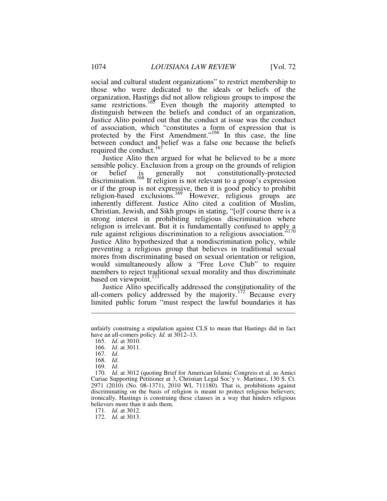social and cultural student organizations" to restrict membership to those who were dedicated to the ideals or beliefs of the organization, Hastings did not allow religious groups to impose the same restrictions.<sup>165</sup> Even though the majority attempted to distinguish between the beliefs and conduct of an organization, Justice Alito pointed out that the conduct at issue was the conduct of association, which "constitutes a form of expression that is protected by the First Amendment."<sup>166</sup> In this case, the line between conduct and belief was a false one because the beliefs required the conduct.<sup>167</sup>

Justice Alito then argued for what he believed to be a more sensible policy. Exclusion from a group on the grounds of religion or belief is generally not constitutionally-protected discrimination.<sup>168</sup> If religion is not relevant to a group's expression or if the group is not expressive, then it is good policy to prohibit religion-based exclusions.<sup>169</sup> However, religious groups are inherently different. Justice Alito cited a coalition of Muslim, Christian, Jewish, and Sikh groups in stating, "[o]f course there is a strong interest in prohibiting religious discrimination where religion is irrelevant. But it is fundamentally confused to apply a rule against religious discrimination to a religious association."<sup>170</sup> Justice Alito hypothesized that a nondiscrimination policy, while preventing a religious group that believes in traditional sexual mores from discriminating based on sexual orientation or religion, would simultaneously allow a "Free Love Club" to require members to reject traditional sexual morality and thus discriminate based on viewpoint.<sup>171</sup>

Justice Alito specifically addressed the constitutionality of the all-comers policy addressed by the majority.<sup>172</sup> Because every limited public forum "must respect the lawful boundaries it has

 $\overline{a}$ 

169. *Id*.

 170. *Id*. at 3012 (quoting Brief for American Islamic Congress et al. as Amici Curiae Supporting Petitioner at 3, Christian Legal Soc'y v. Martinez, 130 S. Ct. 2971 (2010) (No. 08-1371), 2010 WL 711180). That is, prohibitions against discriminating on the basis of religion is meant to protect religious believers; ironically, Hastings is construing these clauses in a way that hinders religious believers more than it aids them.

unfairly construing a stipulation against CLS to mean that Hastings did in fact have an all-comers policy. *Id.* at 3012–13.

 <sup>165.</sup> *Id*. at 3010.

 <sup>166.</sup> *Id*. at 3011.

 <sup>167.</sup> *Id*.

 <sup>168.</sup> *Id*.

 <sup>171.</sup> *Id.* at 3012.

 <sup>172.</sup> *Id.* at 3013.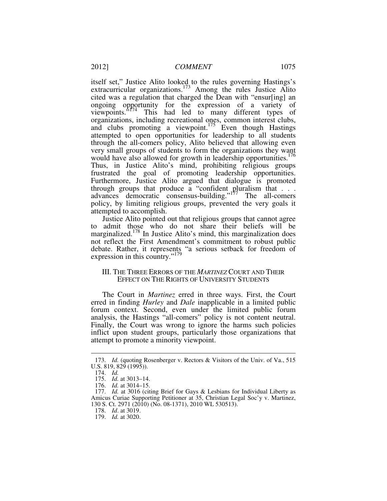itself set," Justice Alito looked to the rules governing Hastings's extracurricular organizations.<sup>173</sup> Among the rules Justice Alito cited was a regulation that charged the Dean with "ensur[ing] an ongoing opportunity for the expression of a variety of viewpoints."<sup>174</sup> This had led to many different types of organizations, including recreational ones, common interest clubs, and clubs promoting a viewpoint.<sup>175</sup> Even though Hastings attempted to open opportunities for leadership to all students through the all-comers policy, Alito believed that allowing even very small groups of students to form the organizations they want would have also allowed for growth in leadership opportunities.<sup>176</sup> Thus, in Justice Alito's mind, prohibiting religious groups frustrated the goal of promoting leadership opportunities. Furthermore, Justice Alito argued that dialogue is promoted through groups that produce a "confident pluralism that . . . advances democratic consensus-building."<sup>177</sup> The all-comers policy, by limiting religious groups, prevented the very goals it attempted to accomplish.

Justice Alito pointed out that religious groups that cannot agree to admit those who do not share their beliefs will be marginalized.<sup>178</sup> In Justice Alito's mind, this marginalization does not reflect the First Amendment's commitment to robust public debate. Rather, it represents "a serious setback for freedom of expression in this country."<sup>179</sup>

# III. THE THREE ERRORS OF THE *MARTINEZ* COURT AND THEIR EFFECT ON THE RIGHTS OF UNIVERSITY STUDENTS

The Court in *Martinez* erred in three ways. First, the Court erred in finding *Hurley* and *Dale* inapplicable in a limited public forum context. Second, even under the limited public forum analysis, the Hastings "all-comers" policy is not content neutral. Finally, the Court was wrong to ignore the harms such policies inflict upon student groups, particularly those organizations that attempt to promote a minority viewpoint.

 <sup>173.</sup> *Id.* (quoting Rosenberger v. Rectors & Visitors of the Univ. of Va., 515 U.S. 819, 829 (1995)).

 <sup>174.</sup> *Id.*

 <sup>175.</sup> *Id.* at 3013–14.

 <sup>176.</sup> *Id.* at 3014–15.

 <sup>177.</sup> *Id.* at 3016 (citing Brief for Gays & Lesbians for Individual Liberty as Amicus Curiae Supporting Petitioner at 35, Christian Legal Soc'y v. Martinez, 130 S. Ct. 2971 (2010) (No. 08-1371), 2010 WL 530513).

 <sup>178.</sup> *Id*. at 3019.

 <sup>179.</sup> *Id.* at 3020.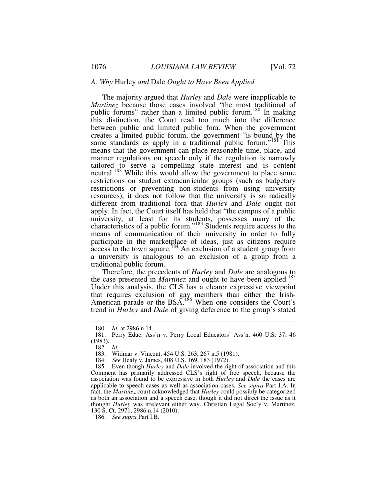#### *A. Why* Hurley *and* Dale *Ought to Have Been Applied*

The majority argued that *Hurley* and *Dale* were inapplicable to *Martinez* because those cases involved "the most traditional of public forums" rather than a limited public forum.<sup>180</sup> In making this distinction, the Court read too much into the difference between public and limited public fora. When the government creates a limited public forum, the government "is bound by the same standards as apply in a traditional public forum." $181$  This means that the government can place reasonable time, place, and manner regulations on speech only if the regulation is narrowly tailored to serve a compelling state interest and is content neutral.<sup>182</sup> While this would allow the government to place some restrictions on student extracurricular groups (such as budgetary restrictions or preventing non-students from using university resources), it does not follow that the university is so radically different from traditional fora that *Hurley* and *Dale* ought not apply. In fact, the Court itself has held that "the campus of a public university, at least for its students, possesses many of the characteristics of a public forum."<sup>183</sup> Students require access to the means of communication of their university in order to fully participate in the marketplace of ideas, just as citizens require  $\frac{1}{2}$  access to the town square.<sup>184</sup> An exclusion of a student group from a university is analogous to an exclusion of a group from a traditional public forum.

Therefore, the precedents of *Hurley* and *Dale* are analogous to the case presented in *Martinez* and ought to have been applied.<sup>185</sup> Under this analysis, the CLS has a clearer expressive viewpoint that requires exclusion of gay members than either the Irish-American parade or the BSA.<sup>186</sup> When one considers the Court's trend in *Hurley* and *Dale* of giving deference to the group's stated

 <sup>180.</sup> *Id.* at 2986 n.14.

 <sup>181.</sup> Perry Educ. Ass'n v. Perry Local Educators' Ass'n, 460 U.S. 37, 46 (1983).

 <sup>182.</sup> *Id.* 

 <sup>183.</sup> Widmar v. Vincent, 454 U.S. 263, 267 n.5 (1981).

 <sup>184.</sup> *See* Healy v. James, 408 U.S. 169, 183 (1972).

 <sup>185.</sup> Even though *Hurley* and *Dale* involved the right of association and this Comment has primarily addressed CLS's right of free speech, because the association was found to be expressive in both *Hurley* and *Dale* the cases are applicable to speech cases as well as association cases. *See supra* Part I.A. In fact, the *Martinez* court acknowledged that *Hurley* could possibly be categorized as both an association and a speech case, though it did not direct the issue as it thought *Hurley* was irrelevant either way. Christian Legal Soc'y v. Martinez, 130 S. Ct. 2971, 2986 n.14 (2010).

 <sup>186.</sup> *See supra* Part I.B.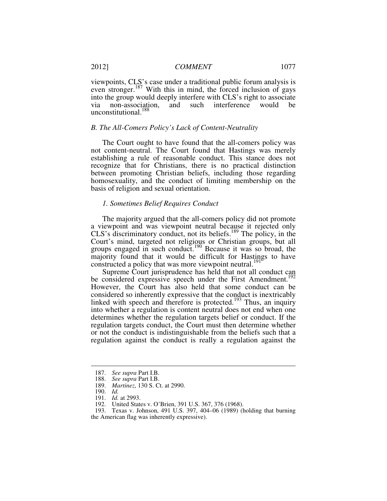viewpoints, CLS's case under a traditional public forum analysis is even stronger.<sup>187</sup> With this in mind, the forced inclusion of gays into the group would deeply interfere with CLS's right to associate via non-association, and such interference would be unconstitutional.<sup>188</sup>

#### *B. The All-Comers Policy's Lack of Content-Neutrality*

The Court ought to have found that the all-comers policy was not content-neutral. The Court found that Hastings was merely establishing a rule of reasonable conduct. This stance does not recognize that for Christians, there is no practical distinction between promoting Christian beliefs, including those regarding homosexuality, and the conduct of limiting membership on the basis of religion and sexual orientation.

#### *1. Sometimes Belief Requires Conduct*

The majority argued that the all-comers policy did not promote a viewpoint and was viewpoint neutral because it rejected only CLS's discriminatory conduct, not its beliefs.<sup>189</sup> The policy, in the Court's mind, targeted not religious or Christian groups, but all groups engaged in such conduct.<sup>190</sup> Because it was so broad, the majority found that it would be difficult for Hastings to have constructed a policy that was more viewpoint neutral.<sup>191</sup>

Supreme Court jurisprudence has held that not all conduct can be considered expressive speech under the First Amendment.<sup>192</sup> However, the Court has also held that some conduct can be considered so inherently expressive that the conduct is inextricably linked with speech and therefore is protected.<sup>193</sup> Thus, an inquiry into whether a regulation is content neutral does not end when one determines whether the regulation targets belief or conduct. If the regulation targets conduct, the Court must then determine whether or not the conduct is indistinguishable from the beliefs such that a regulation against the conduct is really a regulation against the

 <sup>187.</sup> *See supra* Part I.B.

 <sup>188.</sup> *See supra* Part I.B.

 <sup>189.</sup> *Martinez*, 130 S. Ct. at 2990.

 <sup>190.</sup> *Id.* 

 <sup>191.</sup> *Id.* at 2993.

 <sup>192.</sup> United States v. O'Brien, 391 U.S. 367, 376 (1968).

 <sup>193.</sup> Texas v. Johnson, 491 U.S. 397, 404–06 (1989) (holding that burning the American flag was inherently expressive).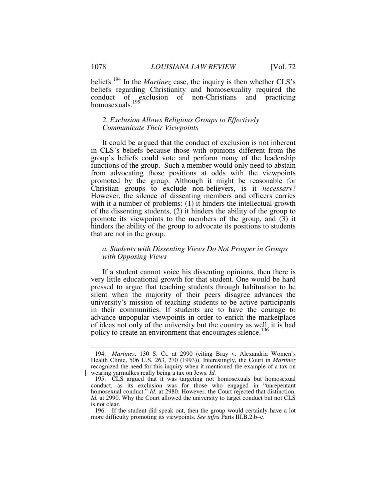beliefs.<sup>194</sup> In the *Martinez* case, the inquiry is then whether CLS's beliefs regarding Christianity and homosexuality required the conduct of exclusion of non-Christians and practicing homosexuals.<sup>195</sup>

# *2. Exclusion Allows Religious Groups to Effectively Communicate Their Viewpoints*

It could be argued that the conduct of exclusion is not inherent in CLS's beliefs because those with opinions different from the group's beliefs could vote and perform many of the leadership functions of the group. Such a member would only need to abstain from advocating those positions at odds with the viewpoints promoted by the group. Although it might be reasonable for Christian groups to exclude non-believers, is it *necessary*? However, the silence of dissenting members and officers carries with it a number of problems: (1) it hinders the intellectual growth of the dissenting students, (2) it hinders the ability of the group to promote its viewpoints to the members of the group, and (3) it hinders the ability of the group to advocate its positions to students that are not in the group.

# *a. Students with Dissenting Views Do Not Prosper in Groups with Opposing Views*

If a student cannot voice his dissenting opinions, then there is very little educational growth for that student. One would be hard pressed to argue that teaching students through habituation to be silent when the majority of their peers disagree advances the university's mission of teaching students to be active participants in their communities. If students are to have the courage to advance unpopular viewpoints in order to enrich the marketplace of ideas not only of the university but the country as well, it is bad policy to create an environment that encourages silence.<sup>196</sup>

 <sup>194.</sup> *Martinez*, 130 S. Ct. at 2990 (citing Bray v. Alexandria Women's Health Clinic, 506 U.S. 263, 270 (1993)). Interestingly, the Court in *Martinez* recognized the need for this inquiry when it mentioned the example of a tax on wearing yarmulkes really being a tax on Jews. *Id.*

 <sup>195.</sup> CLS argued that it was targeting not homosexuals but homosexual conduct, as its exclusion was for those who engaged in "unrepentant homosexual conduct." *Id.* at 2980. However, the Court rejected that distinction. *Id.* at 2990. Why the Court allowed the university to target conduct but not CLS is not clear.

 <sup>196.</sup> If the student did speak out, then the group would certainly have a lot more difficulty promoting its viewpoints. *See infra* Parts III.B.2.b–c.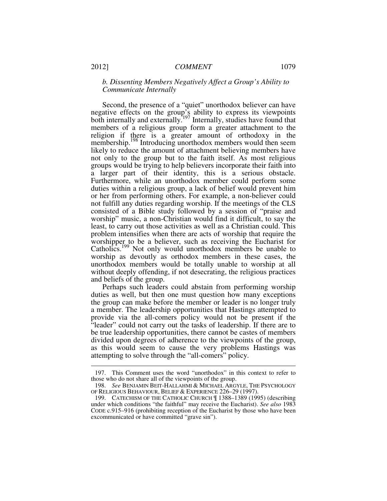# *b. Dissenting Members Negatively Affect a Group's Ability to Communicate Internally*

Second, the presence of a "quiet" unorthodox believer can have negative effects on the group's ability to express its viewpoints both internally and externally.<sup>197</sup> Internally, studies have found that members of a religious group form a greater attachment to the religion if there is a greater amount of orthodoxy in the membership.<sup>198</sup> Introducing unorthodox members would then seem likely to reduce the amount of attachment believing members have not only to the group but to the faith itself. As most religious groups would be trying to help believers incorporate their faith into a larger part of their identity, this is a serious obstacle. Furthermore, while an unorthodox member could perform some duties within a religious group, a lack of belief would prevent him or her from performing others. For example, a non-believer could not fulfill any duties regarding worship. If the meetings of the CLS consisted of a Bible study followed by a session of "praise and worship" music, a non-Christian would find it difficult, to say the least, to carry out those activities as well as a Christian could. This problem intensifies when there are acts of worship that require the worshipper to be a believer, such as receiving the Eucharist for Catholics.<sup>199</sup> Not only would unorthodox members be unable to worship as devoutly as orthodox members in these cases, the unorthodox members would be totally unable to worship at all without deeply offending, if not desecrating, the religious practices and beliefs of the group.

Perhaps such leaders could abstain from performing worship duties as well, but then one must question how many exceptions the group can make before the member or leader is no longer truly a member. The leadership opportunities that Hastings attempted to provide via the all-comers policy would not be present if the "leader" could not carry out the tasks of leadership. If there are to be true leadership opportunities, there cannot be castes of members divided upon degrees of adherence to the viewpoints of the group, as this would seem to cause the very problems Hastings was attempting to solve through the "all-comers" policy.

 <sup>197.</sup> This Comment uses the word "unorthodox" in this context to refer to those who do not share all of the viewpoints of the group.

 <sup>198.</sup> *See* BENJAMIN BEIT-HALLAHMI & MICHAEL ARGYLE, THE PSYCHOLOGY OF RELIGIOUS BEHAVIOUR, BELIEF & EXPERIENCE 226–29 (1997).

 <sup>199.</sup> CATECHISM OF THE CATHOLIC CHURCH ¶ 1388–1389 (1995) (describing under which conditions "the faithful" may receive the Eucharist). *See also* 1983 CODE c.915–916 (prohibiting reception of the Eucharist by those who have been excommunicated or have committed "grave sin").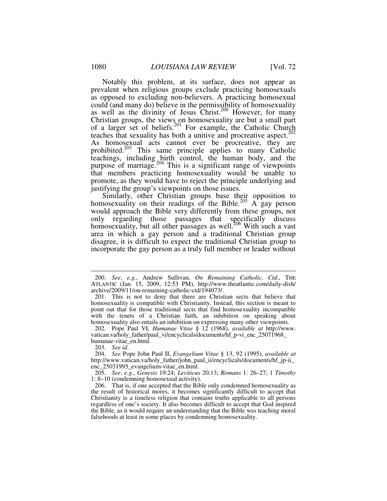Notably this problem, at its surface, does not appear as prevalent when religious groups exclude practicing homosexuals as opposed to excluding non-believers. A practicing homosexual could (and many do) believe in the permissibility of homosexuality as well as the divinity of Jesus Christ.<sup>200</sup> However, for many Christian groups, the views on homosexuality are but a small part of a larger set of beliefs.<sup>201</sup> For example, the Catholic Church teaches that sexuality has both a unitive and procreative aspect. $202$ As homosexual acts cannot ever be procreative, they are prohibited.<sup>203</sup> This same principle applies to many Catholic teachings, including birth control, the human body, and the purpose of marriage.<sup>204</sup> This is a significant range of viewpoints that members practicing homosexuality would be unable to promote, as they would have to reject the principle underlying and justifying the group's viewpoints on those issues.

Similarly, other Christian groups base their opposition to homosexuality on their readings of the Bible.<sup>205</sup> A gay person would approach the Bible very differently from these groups, not only regarding those passages that specifically discuss homosexuality, but all other passages as well.<sup>206</sup> With such a vast area in which a gay person and a traditional Christian group disagree, it is difficult to expect the traditional Christian group to incorporate the gay person as a truly full member or leader without

 <sup>200.</sup> *See*, *e.g.*, Andrew Sullivan, *On Remaining Catholic, Ctd.*, THE ATLANTIC (Jan. 15, 2009, 12:53 PM), http://www.theatlantic.com/daily-dish/ archive/2009/11/on-remaining-catholic-ctd/194073/.

 <sup>201.</sup> This is not to deny that there are Christian sects that believe that homosexuality is compatible with Christianity. Instead, this section is meant to point out that for those traditional sects that find homosexuality incompatible with the tenets of a Christian faith, an inhibition on speaking about homosexuality also entails an inhibition on expressing many other viewpoints.

 <sup>202.</sup> Pope Paul VI, *Humanae Vitae* § 12 (1968), *available at* http://www. vatican.va/holy\_father/paul\_vi/encyclicals/documents/hf\_p-vi\_enc\_25071968\_ humanae-vitae\_en.html.

 <sup>203.</sup> *See id*.

 <sup>204.</sup> *See* Pope John Paul II, *Evangelium Vitae* § 13, 92 (1995), *available at*  http://www.vatican.va/holy\_father/john\_paul\_ii/encyclicals/documents/hf\_jp-ii\_ enc\_25031995\_evangelium-vitae\_en.html.

 <sup>205.</sup> *See*, *e.g.*, *Genesis* 19:24; *Leviticus* 20:13; *Romans* 1: 26–27; 1 *Timothy* 1: 8–10 (condemning homosexual activity).

 <sup>206.</sup> That is, if one accepted that the Bible only condemned homosexuality as the result of historical mores, it becomes significantly difficult to accept that Christianity is a timeless religion that contains truths applicable to all persons regardless of one's society. It also becomes difficult to accept that God inspired the Bible, as it would require an understanding that the Bible was teaching moral falsehoods at least in some places by condemning homosexuality.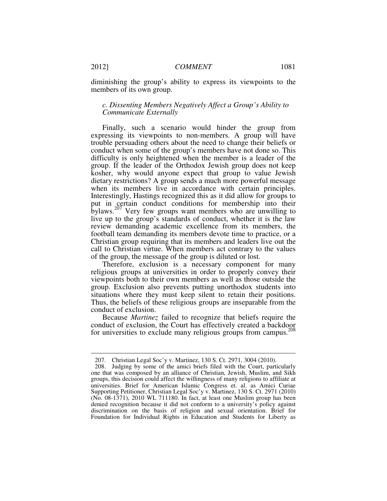diminishing the group's ability to express its viewpoints to the members of its own group.

# *c. Dissenting Members Negatively Affect a Group's Ability to Communicate Externally*

Finally, such a scenario would hinder the group from expressing its viewpoints to non-members. A group will have trouble persuading others about the need to change their beliefs or conduct when some of the group's members have not done so. This difficulty is only heightened when the member is a leader of the group. If the leader of the Orthodox Jewish group does not keep kosher, why would anyone expect that group to value Jewish dietary restrictions? A group sends a much more powerful message when its members live in accordance with certain principles. Interestingly, Hastings recognized this as it did allow for groups to put in certain conduct conditions for membership into their bylaws.<sup>207</sup> Very few groups want members who are unwilling to live up to the group's standards of conduct, whether it is the law review demanding academic excellence from its members, the football team demanding its members devote time to practice, or a Christian group requiring that its members and leaders live out the call to Christian virtue. When members act contrary to the values of the group, the message of the group is diluted or lost.

Therefore, exclusion is a necessary component for many religious groups at universities in order to properly convey their viewpoints both to their own members as well as those outside the group. Exclusion also prevents putting unorthodox students into situations where they must keep silent to retain their positions. Thus, the beliefs of these religious groups are inseparable from the conduct of exclusion.

Because *Martinez* failed to recognize that beliefs require the conduct of exclusion, the Court has effectively created a backdoor for universities to exclude many religious groups from campus.<sup>208</sup>

 <sup>207.</sup> Christian Legal Soc'y v. Martinez, 130 S. Ct. 2971, 3004 (2010).

 <sup>208.</sup> Judging by some of the amici briefs filed with the Court, particularly one that was composed by an alliance of Christian, Jewish, Muslim, and Sikh groups, this decision could affect the willingness of many religions to affiliate at universities. Brief for American Islamic Congress et. al. as Amici Curiae Supporting Petitioner, Christian Legal Soc'y v. Martinez, 130 S. Ct. 2971 (2010) (No. 08-1371), 2010 WL 711180. In fact, at least one Muslim group has been denied recognition because it did not conform to a university's policy against discrimination on the basis of religion and sexual orientation. Brief for Foundation for Individual Rights in Education and Students for Liberty as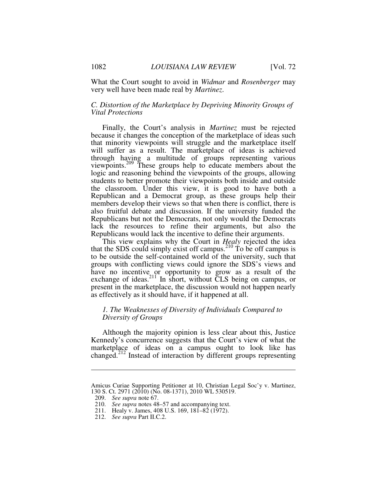What the Court sought to avoid in *Widmar* and *Rosenberger* may very well have been made real by *Martinez*.

# *C. Distortion of the Marketplace by Depriving Minority Groups of Vital Protections*

Finally, the Court's analysis in *Martinez* must be rejected because it changes the conception of the marketplace of ideas such that minority viewpoints will struggle and the marketplace itself will suffer as a result. The marketplace of ideas is achieved through having a multitude of groups representing various viewpoints.<sup>209</sup> These groups help to educate members about the logic and reasoning behind the viewpoints of the groups, allowing students to better promote their viewpoints both inside and outside the classroom. Under this view, it is good to have both a Republican and a Democrat group, as these groups help their members develop their views so that when there is conflict, there is also fruitful debate and discussion. If the university funded the Republicans but not the Democrats, not only would the Democrats lack the resources to refine their arguments, but also the Republicans would lack the incentive to define their arguments.

This view explains why the Court in *Healy* rejected the idea that the SDS could simply exist off campus.<sup>210</sup> To be off campus is to be outside the self-contained world of the university, such that groups with conflicting views could ignore the SDS's views and have no incentive or opportunity to grow as a result of the exchange of ideas.<sup>211</sup> In short, without CLS being on campus, or present in the marketplace, the discussion would not happen nearly as effectively as it should have, if it happened at all.

# *1. The Weaknesses of Diversity of Individuals Compared to Diversity of Groups*

Although the majority opinion is less clear about this, Justice Kennedy's concurrence suggests that the Court's view of what the marketplace of ideas on a campus ought to look like has changed.<sup>212</sup> Instead of interaction by different groups representing

Amicus Curiae Supporting Petitioner at 10, Christian Legal Soc'y v. Martinez, 130 S. Ct. 2971 (2010) (No. 08-1371), 2010 WL 530519.

 <sup>209.</sup> *See supra* note 67.

 <sup>210.</sup> *See supra* notes 48–57 and accompanying text.

 <sup>211.</sup> Healy v. James, 408 U.S. 169, 181–82 (1972).

 <sup>212.</sup> *See supra* Part II.C.2.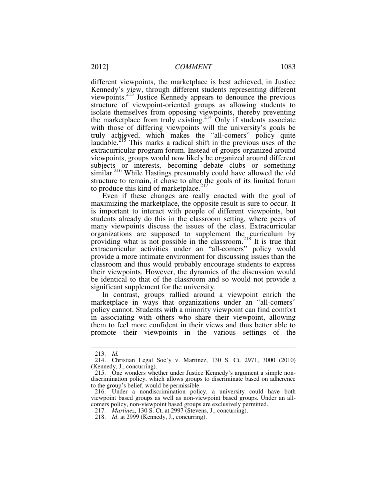different viewpoints, the marketplace is best achieved, in Justice Kennedy's view, through different students representing different viewpoints.<sup>213</sup> Justice Kennedy appears to denounce the previous structure of viewpoint-oriented groups as allowing students to isolate themselves from opposing viewpoints, thereby preventing the marketplace from truly existing.<sup>214</sup> Only if students associate with those of differing viewpoints will the university's goals be truly achieved, which makes the "all-comers" policy quite laudable.<sup>215</sup> This marks a radical shift in the previous uses of the extracurricular program forum. Instead of groups organized around viewpoints, groups would now likely be organized around different subjects or interests, becoming debate clubs or something similar.<sup>216</sup> While Hastings presumably could have allowed the old structure to remain, it chose to alter the goals of its limited forum to produce this kind of marketplace. $217$ 

Even if these changes are really enacted with the goal of maximizing the marketplace, the opposite result is sure to occur. It is important to interact with people of different viewpoints, but students already do this in the classroom setting, where peers of many viewpoints discuss the issues of the class. Extracurricular organizations are supposed to supplement the curriculum by providing what is not possible in the classroom.<sup>218</sup> It is true that extracurricular activities under an "all-comers" policy would provide a more intimate environment for discussing issues than the classroom and thus would probably encourage students to express their viewpoints. However, the dynamics of the discussion would be identical to that of the classroom and so would not provide a significant supplement for the university.

In contrast, groups rallied around a viewpoint enrich the marketplace in ways that organizations under an "all-comers" policy cannot. Students with a minority viewpoint can find comfort in associating with others who share their viewpoint, allowing them to feel more confident in their views and thus better able to promote their viewpoints in the various settings of the

 <sup>213.</sup> *Id.* 

 <sup>214.</sup> Christian Legal Soc'y v. Martinez, 130 S. Ct. 2971, 3000 (2010) (Kennedy, J., concurring).

 <sup>215.</sup> One wonders whether under Justice Kennedy's argument a simple nondiscrimination policy, which allows groups to discriminate based on adherence to the group's belief, would be permissible.

 <sup>216.</sup> Under a nondiscrimination policy, a university could have both viewpoint based groups as well as non-viewpoint based groups. Under an allcomers policy, non-viewpoint based groups are exclusively permitted.

 <sup>217.</sup> *Martinez*, 130 S. Ct. at 2997 (Stevens, J., concurring).

 <sup>218.</sup> *Id*. at 2999 (Kennedy, J., concurring).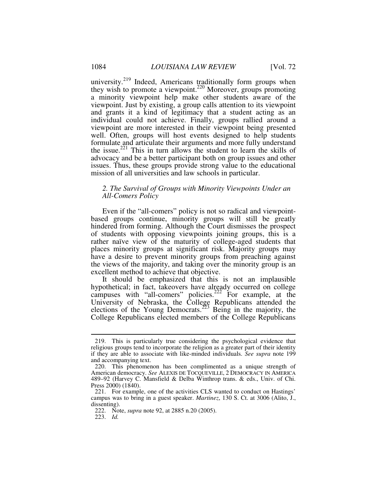university.<sup>219</sup> Indeed, Americans traditionally form groups when they wish to promote a viewpoint.<sup>220</sup> Moreover, groups promoting a minority viewpoint help make other students aware of the viewpoint. Just by existing, a group calls attention to its viewpoint and grants it a kind of legitimacy that a student acting as an individual could not achieve. Finally, groups rallied around a viewpoint are more interested in their viewpoint being presented well. Often, groups will host events designed to help students formulate and articulate their arguments and more fully understand the issue.<sup>221</sup> This in turn allows the student to learn the skills of advocacy and be a better participant both on group issues and other issues. Thus, these groups provide strong value to the educational mission of all universities and law schools in particular.

# *2. The Survival of Groups with Minority Viewpoints Under an All-Comers Policy*

Even if the "all-comers" policy is not so radical and viewpointbased groups continue, minority groups will still be greatly hindered from forming. Although the Court dismisses the prospect of students with opposing viewpoints joining groups, this is a rather naïve view of the maturity of college-aged students that places minority groups at significant risk. Majority groups may have a desire to prevent minority groups from preaching against the views of the majority, and taking over the minority group is an excellent method to achieve that objective.

It should be emphasized that this is not an implausible hypothetical; in fact, takeovers have already occurred on college campuses with "all-comers" policies.<sup>222</sup> For example, at the University of Nebraska, the College Republicans attended the elections of the Young Democrats.<sup>223</sup> Being in the majority, the College Republicans elected members of the College Republicans

 <sup>219.</sup> This is particularly true considering the psychological evidence that religious groups tend to incorporate the religion as a greater part of their identity if they are able to associate with like-minded individuals. *See supra* note 199 and accompanying text.

 <sup>220.</sup> This phenomenon has been complimented as a unique strength of American democracy. *See* ALEXIS DE TOCQUEVILLE, 2 DEMOCRACY IN AMERICA 489–92 (Harvey C. Mansfield & Delba Winthrop trans. & eds., Univ. of Chi. Press 2000) (1840).

 <sup>221.</sup> For example, one of the activities CLS wanted to conduct on Hastings' campus was to bring in a guest speaker. *Martinez*, 130 S. Ct. at 3006 (Alito, J., dissenting).

 <sup>222.</sup> Note, *supra* note 92, at 2885 n.20 (2005).

 <sup>223.</sup> *Id.*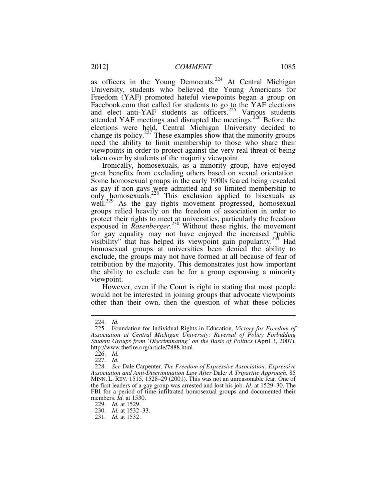as officers in the Young Democrats.<sup>224</sup> At Central Michigan University, students who believed the Young Americans for Freedom (YAF) promoted hateful viewpoints began a group on Facebook.com that called for students to go to the YAF elections and elect anti-YAF students as officers.<sup>225</sup> Various students attended YAF meetings and disrupted the meetings.<sup>226</sup> Before the elections were held, Central Michigan University decided to change its policy. $2^{27}$  These examples show that the minority groups need the ability to limit membership to those who share their viewpoints in order to protect against the very real threat of being taken over by students of the majority viewpoint.

Ironically, homosexuals, as a minority group, have enjoyed great benefits from excluding others based on sexual orientation. Some homosexual groups in the early 1900s feared being revealed as gay if non-gays were admitted and so limited membership to only homosexuals.<sup>228</sup> This exclusion applied to bisexuals as well.<sup>229</sup> As the gay rights movement progressed, homosexual groups relied heavily on the freedom of association in order to protect their rights to meet at universities, particularly the freedom espoused in *Rosenberger*.<sup>230</sup> Without these rights, the movement for gay equality may not have enjoyed the increased "public" visibility" that has helped its viewpoint gain popularity.<sup>231</sup> Had homosexual groups at universities been denied the ability to exclude, the groups may not have formed at all because of fear of retribution by the majority. This demonstrates just how important the ability to exclude can be for a group espousing a minority viewpoint.

However, even if the Court is right in stating that most people would not be interested in joining groups that advocate viewpoints other than their own, then the question of what these policies

 <sup>224.</sup> *Id.* 

 <sup>225.</sup> Foundation for Individual Rights in Education, *Victory for Freedom of Association at Central Michigan University: Reversal of Policy Forbidding Student Groups from 'Discriminating' on the Basis of Politics* (April 3, 2007), http://www.thefire.org/article/7888.html.

 <sup>226.</sup> *Id.*

 <sup>227.</sup> *Id.*

 <sup>228.</sup> *See* Dale Carpenter, *The Freedom of Expressive Association: Expressive Association and Anti-Discrimination Law After* Dale*: A Tripartite Approach*, 85 MINN. L. REV. 1515, 1528–29 (2001). This was not an unreasonable fear. One of the first leaders of a gay group was arrested and lost his job. *Id.* at 1529–30. The FBI for a period of time infiltrated homosexual groups and documented their members. *Id.* at 1530.

 <sup>229.</sup> *Id.* at 1529.

 <sup>230.</sup> *Id.* at 1532–33.

 <sup>231.</sup> *Id.* at 1532.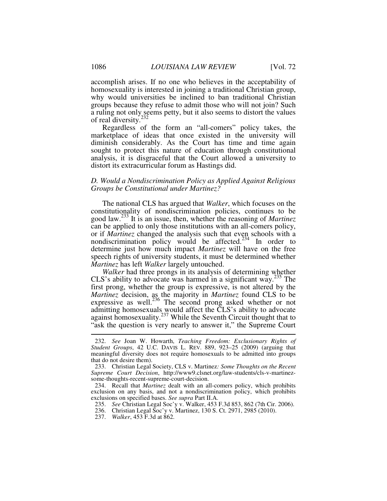accomplish arises. If no one who believes in the acceptability of homosexuality is interested in joining a traditional Christian group, why would universities be inclined to ban traditional Christian groups because they refuse to admit those who will not join? Such a ruling not only seems petty, but it also seems to distort the values of real diversity.<sup>2</sup>

Regardless of the form an "all-comers" policy takes, the marketplace of ideas that once existed in the university will diminish considerably. As the Court has time and time again sought to protect this nature of education through constitutional analysis, it is disgraceful that the Court allowed a university to distort its extracurricular forum as Hastings did.

# *D. Would a Nondiscrimination Policy as Applied Against Religious Groups be Constitutional under Martinez?*

The national CLS has argued that *Walker*, which focuses on the constitutionality of nondiscrimination policies, continues to be good law.<sup>233</sup> It is an issue, then, whether the reasoning of *Martinez* can be applied to only those institutions with an all-comers policy, or if *Martinez* changed the analysis such that even schools with a nondiscrimination policy would be affected.<sup>234</sup> In order to determine just how much impact *Martinez* will have on the free speech rights of university students, it must be determined whether *Martinez* has left *Walker* largely untouched.

*Walker* had three prongs in its analysis of determining whether CLS's ability to advocate was harmed in a significant way.<sup>235</sup> The first prong, whether the group is expressive, is not altered by the *Martinez* decision, as the majority in *Martinez* found CLS to be expressive as well.<sup>236</sup> The second prong asked whether or not admitting homosexuals would affect the CLS's ability to advocate against homosexuality.<sup>237</sup> While the Seventh Circuit thought that to "ask the question is very nearly to answer it," the Supreme Court

237. *Walker*, 453 F.3d at 862.

 <sup>232.</sup> *See* Joan W. Howarth, *Teaching Freedom: Exclusionary Rights of Student Groups*, 42 U.C. DAVIS L. REV. 889, 923–25 (2009) (arguing that meaningful diversity does not require homosexuals to be admitted into groups that do not desire them).

 <sup>233.</sup> Christian Legal Society, CLS v. Martinez*: Some Thoughts on the Recent Supreme Court Decision*, http://www9.clsnet.org/law-students/cls-v-martinezsome-thoughts-recent-supreme-court-decision.

 <sup>234.</sup> Recall that *Martinez* dealt with an all-comers policy, which prohibits exclusion on any basis, and not a nondiscrimination policy, which prohibits exclusions on specified bases. *See supra* Part II.A.

 <sup>235.</sup> *See* Christian Legal Soc'y v. Walker, 453 F.3d 853, 862 (7th Cir. 2006).

 <sup>236.</sup> Christian Legal Soc'y v. Martinez, 130 S. Ct. 2971, 2985 (2010).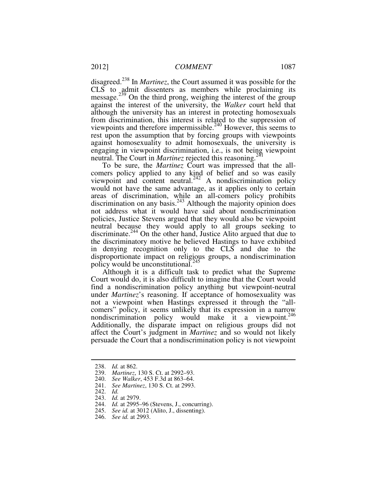disagreed.<sup>238</sup> In *Martinez*, the Court assumed it was possible for the CLS to admit dissenters as members while proclaiming its message.<sup>239</sup> On the third prong, weighing the interest of the group against the interest of the university, the *Walker* court held that although the university has an interest in protecting homosexuals from discrimination, this interest is related to the suppression of viewpoints and therefore impermissible.<sup>240</sup> However, this seems to rest upon the assumption that by forcing groups with viewpoints against homosexuality to admit homosexuals, the university is engaging in viewpoint discrimination, i.e., is not being viewpoint neutral. The Court in *Martinez* rejected this reasoning.<sup>241</sup>

To be sure, the *Martinez* Court was impressed that the allcomers policy applied to any kind of belief and so was easily viewpoint and content neutral. $242$  A nondiscrimination policy would not have the same advantage, as it applies only to certain areas of discrimination, while an all-comers policy prohibits discrimination on any basis.<sup>243</sup> Although the majority opinion does not address what it would have said about nondiscrimination policies, Justice Stevens argued that they would also be viewpoint neutral because they would apply to all groups seeking to discriminate.<sup>244</sup> On the other hand, Justice Alito argued that due to the discriminatory motive he believed Hastings to have exhibited in denying recognition only to the CLS and due to the disproportionate impact on religious groups, a nondiscrimination policy would be unconstitutional.<sup>245</sup>

Although it is a difficult task to predict what the Supreme Court would do, it is also difficult to imagine that the Court would find a nondiscrimination policy anything but viewpoint-neutral under *Martinez*'s reasoning. If acceptance of homosexuality was not a viewpoint when Hastings expressed it through the "allcomers" policy, it seems unlikely that its expression in a narrow nondiscrimination policy would make it a viewpoint. $246$ Additionally, the disparate impact on religious groups did not affect the Court's judgment in *Martinez* and so would not likely persuade the Court that a nondiscrimination policy is not viewpoint

 <sup>238.</sup> *Id.* at 862.

 <sup>239.</sup> *Martinez*, 130 S. Ct. at 2992–93.

 <sup>240.</sup> *See Walker*, 453 F.3d at 863–64.

 <sup>241.</sup> *See Martinez*, 130 S. Ct. at 2993.

 <sup>242.</sup> *Id.*

 <sup>243.</sup> *Id.* at 2979.

 <sup>244.</sup> *Id.* at 2995–96 (Stevens, J., concurring).

 <sup>245.</sup> *See id.* at 3012 (Alito, J., dissenting).

 <sup>246.</sup> *See id.* at 2993.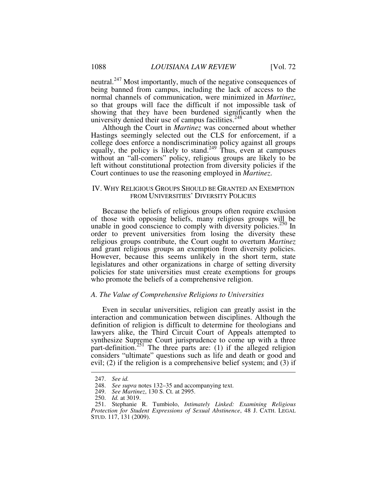neutral.<sup>247</sup> Most importantly, much of the negative consequences of being banned from campus, including the lack of access to the normal channels of communication, were minimized in *Martinez*, so that groups will face the difficult if not impossible task of showing that they have been burdened significantly when the university denied their use of campus facilities. $248$ 

Although the Court in *Martinez* was concerned about whether Hastings seemingly selected out the CLS for enforcement, if a college does enforce a nondiscrimination policy against all groups equally, the policy is likely to stand.<sup>249</sup> Thus, even at campuses without an "all-comers" policy, religious groups are likely to be left without constitutional protection from diversity policies if the Court continues to use the reasoning employed in *Martinez*.

# IV. WHY RELIGIOUS GROUPS SHOULD BE GRANTED AN EXEMPTION FROM UNIVERSITIES' DIVERSITY POLICIES

Because the beliefs of religious groups often require exclusion of those with opposing beliefs, many religious groups will be unable in good conscience to comply with diversity policies.<sup>250</sup> In order to prevent universities from losing the diversity these religious groups contribute, the Court ought to overturn *Martinez* and grant religious groups an exemption from diversity policies. However, because this seems unlikely in the short term, state legislatures and other organizations in charge of setting diversity policies for state universities must create exemptions for groups who promote the beliefs of a comprehensive religion.

# *A. The Value of Comprehensive Religions to Universities*

Even in secular universities, religion can greatly assist in the interaction and communication between disciplines. Although the definition of religion is difficult to determine for theologians and lawyers alike, the Third Circuit Court of Appeals attempted to synthesize Supreme Court jurisprudence to come up with a three part-definition.<sup>251</sup> The three parts are: (1) if the alleged religion considers "ultimate" questions such as life and death or good and evil; (2) if the religion is a comprehensive belief system; and (3) if

 <sup>247.</sup> *See id.*

 <sup>248.</sup> *See supra* notes 132–35 and accompanying text.

 <sup>249.</sup> *See Martinez*, 130 S. Ct. at 2995.

 <sup>250.</sup> *Id.* at 3019.

 <sup>251.</sup> Stephanie R. Tumbiolo, *Intimately Linked: Examining Religious Protection for Student Expressions of Sexual Abstinence*, 48 J. CATH. LEGAL STUD. 117, 131 (2009).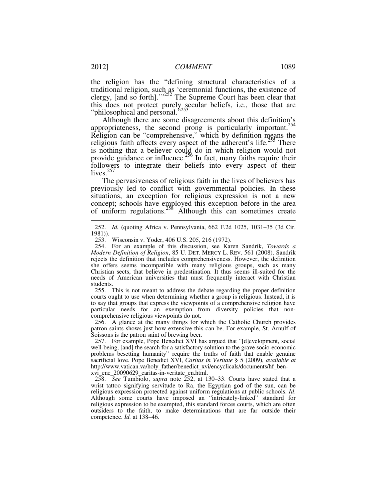the religion has the "defining structural characteristics of a traditional religion, such as 'ceremonial functions, the existence of clergy, [and so forth]." $252$  The Supreme Court has been clear that this does not protect purely secular beliefs, i.e., those that are "philosophical and personal."<sup>253</sup>

Although there are some disagreements about this definition's appropriateness, the second prong is particularly important.<sup>254</sup> Religion can be "comprehensive," which by definition means the religious faith affects every aspect of the adherent's life.<sup>255</sup> There is nothing that a believer could do in which religion would not provide guidance or influence.<sup>256</sup> In fact, many faiths require their followers to integrate their beliefs into every aspect of their lives. $257$ 

The pervasiveness of religious faith in the lives of believers has previously led to conflict with governmental policies. In these situations, an exception for religious expression is not a new concept; schools have employed this exception before in the area of uniform regulations.<sup>258</sup> Although this can sometimes create

 255. This is not meant to address the debate regarding the proper definition courts ought to use when determining whether a group is religious. Instead, it is to say that groups that express the viewpoints of a comprehensive religion have particular needs for an exemption from diversity policies that noncomprehensive religious viewpoints do not.

 256. A glance at the many things for which the Catholic Church provides patron saints shows just how extensive this can be. For example, St. Arnulf of Soissons is the patron saint of brewing beer.

 257. For example, Pope Benedict XVI has argued that "[d]evelopment, social well-being, [and] the search for a satisfactory solution to the grave socio-economic problems besetting humanity" require the truths of faith that enable genuine sacrificial love. Pope Benedict XVI, *Caritas in Veritate* § 5 (2009), *available at*  http://www.vatican.va/holy\_father/benedict\_xvi/encyclicals/documents/hf\_benxvi\_enc\_20090629\_caritas-in-veritate\_en.html.

 258. *See* Tumbiolo, *supra* note 252, at 130–33. Courts have stated that a wrist tattoo signifying servitude to Ra, the Egyptian god of the sun, can be religious expression protected against uniform regulations at public schools. *Id*. Although some courts have imposed an "intricately-linked" standard for religious expression to be exempted, this standard forces courts, which are often outsiders to the faith, to make determinations that are far outside their competence. *Id.* at 138–46.

 <sup>252.</sup> *Id.* (quoting Africa v. Pennsylvania, 662 F.2d 1025, 1031–35 (3d Cir. 1981)).

 <sup>253.</sup> Wisconsin v. Yoder, 406 U.S. 205, 216 (1972).

 <sup>254.</sup> For an example of this discussion, see Karen Sandrik, *Towards a Modern Definition of Religion*, 85 U. DET. MERCY L. REV. 561 (2008). Sandrik rejects the definition that includes comprehensiveness. However, the definition she offers seems incompatible with many religious groups, such as many Christian sects, that believe in predestination. It thus seems ill-suited for the needs of American universities that must frequently interact with Christian students.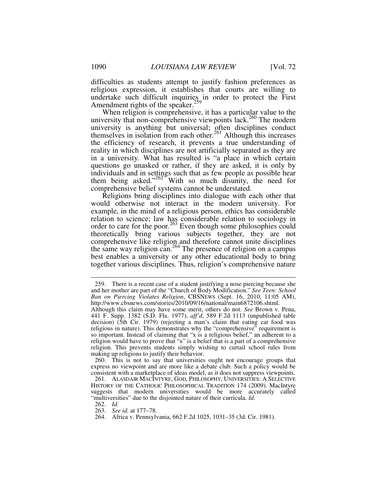difficulties as students attempt to justify fashion preferences as religious expression, it establishes that courts are willing to undertake such difficult inquiries in order to protect the First Amendment rights of the speaker.<sup>259</sup>

When religion is comprehensive, it has a particular value to the university that non-comprehensive viewpoints lack.<sup>260</sup> The modern university is anything but universal; often disciplines conduct themselves in isolation from each other.<sup>261</sup> Although this increases the efficiency of research, it prevents a true understanding of reality in which disciplines are not artificially separated as they are in a university. What has resulted is "a place in which certain questions go unasked or rather, if they are asked, it is only by individuals and in settings such that as few people as possible hear them being asked."<sup>262</sup> With so much disunity, the need for comprehensive belief systems cannot be understated.

Religions bring disciplines into dialogue with each other that would otherwise not interact in the modern university. For example, in the mind of a religious person, ethics has considerable relation to science; law has considerable relation to sociology in order to care for the poor.<sup>263</sup> Even though some philosophies could theoretically bring various subjects together, they are not comprehensive like religion and therefore cannot unite disciplines the same way religion can.<sup>264</sup> The presence of religion on a campus best enables a university or any other educational body to bring together various disciplines. Thus, religion's comprehensive nature

 <sup>259.</sup> There is a recent case of a student justifying a nose piercing because she and her mother are part of the "Church of Body Modification." *See Teen: School Ban on Piercing Violates Religion*, CBSNEWS (Sept. 16, 2010, 11:05 AM), http://www.cbsnews.com/stories/2010/09/16/national/main6872106.shtml.

Although this claim may have some merit, others do not. *See* Brown v. Pena, 441 F. Supp. 1382 (S.D. Fla. 1977), *aff'd*, 589 F.2d 1113 (unpublished table decision) (5th Cir. 1979) (rejecting a man's claim that eating cat food was religious in nature). This demonstrates why the "comprehensive" requirement is so important. Instead of claiming that "x is a religious belief," an adherent to a religion would have to prove that "x" is a belief that is a part of a comprehensive religion. This prevents students simply wishing to curtail school rules from making up religions to justify their behavior.

 <sup>260.</sup> This is not to say that universities ought not encourage groups that express no viewpoint and are more like a debate club. Such a policy would be consistent with a marketplace of ideas model, as it does not suppress viewpoints.

 <sup>261.</sup> ALASDAIR MACINTYRE, GOD, PHILOSOPHY, UNIVERSITIES: A SELECTIVE HISTORY OF THE CATHOLIC PHILOSOPHICAL TRADITION 174 (2009). MacIntyre suggests that modern universities would be more accurately called "multiversities" due to the disjointed nature of their curricula. *Id*.

 <sup>262.</sup> *Id.*

 <sup>263.</sup> *See id.* at 177–78.

 <sup>264.</sup> Africa v. Pennsylvania, 662 F.2d 1025, 1031–35 (3d. Cir. 1981).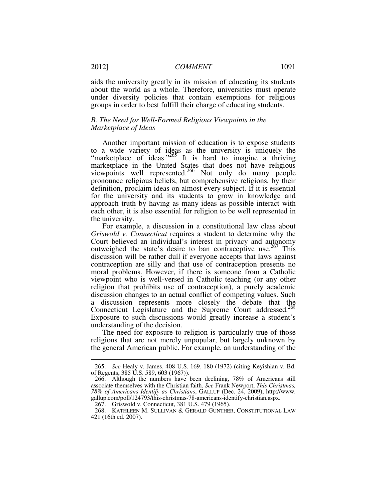aids the university greatly in its mission of educating its students about the world as a whole. Therefore, universities must operate under diversity policies that contain exemptions for religious groups in order to best fulfill their charge of educating students.

# *B. The Need for Well-Formed Religious Viewpoints in the Marketplace of Ideas*

Another important mission of education is to expose students to a wide variety of ideas as the university is uniquely the "marketplace of ideas."<sup>265</sup> It is hard to imagine a thriving marketplace in the United States that does not have religious viewpoints well represented.<sup>266</sup> Not only do many people pronounce religious beliefs, but comprehensive religions, by their definition, proclaim ideas on almost every subject. If it is essential for the university and its students to grow in knowledge and approach truth by having as many ideas as possible interact with each other, it is also essential for religion to be well represented in the university.

For example, a discussion in a constitutional law class about *Griswold v. Connecticut* requires a student to determine why the Court believed an individual's interest in privacy and autonomy outweighed the state's desire to ban contraceptive use.<sup>267</sup> This discussion will be rather dull if everyone accepts that laws against contraception are silly and that use of contraception presents no moral problems. However, if there is someone from a Catholic viewpoint who is well-versed in Catholic teaching (or any other religion that prohibits use of contraception), a purely academic discussion changes to an actual conflict of competing values. Such a discussion represents more closely the debate that the Connecticut Legislature and the Supreme Court addressed.<sup>268</sup> Exposure to such discussions would greatly increase a student's understanding of the decision.

The need for exposure to religion is particularly true of those religions that are not merely unpopular, but largely unknown by the general American public. For example, an understanding of the

 <sup>265.</sup> *See* Healy v. James, 408 U.S. 169, 180 (1972) (citing Keyishian v. Bd. of Regents, 385 U.S. 589, 603 (1967)).

 <sup>266.</sup> Although the numbers have been declining, 78% of Americans still associate themselves with the Christian faith. *See* Frank Newport, *This Christmas, 78% of Americans Identify as Christians*, GALLUP (Dec. 24, 2009), http://www. gallup.com/poll/124793/this-christmas-78-americans-identify-christian.aspx.

 <sup>267.</sup> Griswold v. Connecticut, 381 U.S. 479 (1965).

 <sup>268.</sup> KATHLEEN M. SULLIVAN & GERALD GUNTHER, CONSTITUTIONAL LAW 421 (16th ed. 2007).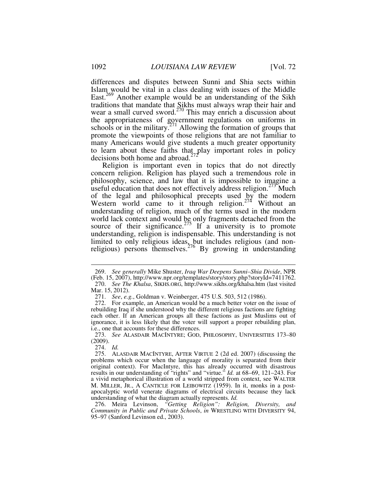differences and disputes between Sunni and Shia sects within Islam would be vital in a class dealing with issues of the Middle East.<sup>269</sup> Another example would be an understanding of the Sikh traditions that mandate that Sikhs must always wrap their hair and wear a small curved sword.<sup>270</sup> This may enrich a discussion about the appropriateness of government regulations on uniforms in schools or in the military.<sup>271</sup> Allowing the formation of groups that promote the viewpoints of those religions that are not familiar to many Americans would give students a much greater opportunity to learn about these faiths that play important roles in policy decisions both home and abroad. $272$ 

Religion is important even in topics that do not directly concern religion. Religion has played such a tremendous role in philosophy, science, and law that it is impossible to imagine a useful education that does not effectively address religion.<sup>273</sup> Much of the legal and philosophical precepts used by the modern Western world came to it through religion.<sup>274</sup> Without an understanding of religion, much of the terms used in the modern world lack context and would be only fragments detached from the source of their significance.<sup>275</sup> If a university is to promote understanding, religion is indispensable. This understanding is not limited to only religious ideas, but includes religious (and nonreligious) persons themselves.<sup>276</sup> By growing in understanding

274. *Id.*

 <sup>269.</sup> *See generally* Mike Shuster, *Iraq War Deepens Sunni–Shia Divide*, NPR (Feb. 15, 2007), http://www.npr.org/templates/story/story.php?storyId=7411762. 270. *See The Khalsa*, SIKHS.ORG, http://www.sikhs.org/khalsa.htm (last visited Mar. 15, 2012).

 <sup>271.</sup> *See*, *e.g.*, Goldman v. Weinberger, 475 U.S. 503, 512 (1986).

 <sup>272.</sup> For example, an American would be a much better voter on the issue of rebuilding Iraq if she understood why the different religious factions are fighting each other. If an American groups all these factions as just Muslims out of ignorance, it is less likely that the voter will support a proper rebuilding plan, i.e., one that accounts for these differences.

 <sup>273.</sup> *See* ALASDAIR MACINTYRE; GOD, PHILOSOPHY, UNIVERSITIES 173–80 (2009).

 <sup>275.</sup> ALASDAIR MACINTYRE, AFTER VIRTUE 2 (2d ed. 2007) (discussing the problems which occur when the language of morality is separated from their original context). For MacIntyre, this has already occurred with disastrous results in our understanding of "rights" and "virtue." *Id.* at 68–69, 121–243. For a vivid metaphorical illustration of a world stripped from context, see WALTER M. MILLER, JR., A CANTICLE FOR LEIBOWITZ (1959). In it, monks in a postapocalyptic world venerate diagrams of electrical circuits because they lack understanding of what the diagram actually represents. *Id.*

 <sup>276.</sup> Meira Levinson, *"Getting Religion": Religion, Diversity, and Community in Public and Private Schools*, *in* WRESTLING WITH DIVERSITY 94, 95–97 (Sanford Levinson ed., 2003).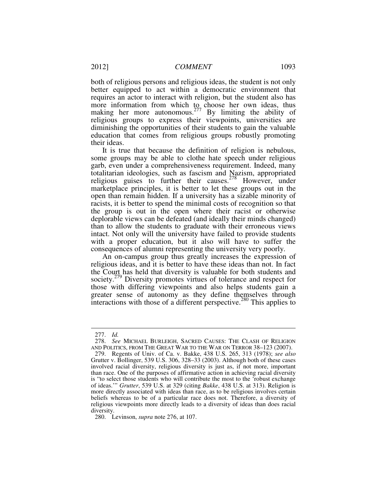both of religious persons and religious ideas, the student is not only better equipped to act within a democratic environment that requires an actor to interact with religion, but the student also has more information from which to choose her own ideas, thus making her more autonomous.<sup>277</sup> By limiting the ability of religious groups to express their viewpoints, universities are diminishing the opportunities of their students to gain the valuable education that comes from religious groups robustly promoting their ideas.

It is true that because the definition of religion is nebulous, some groups may be able to clothe hate speech under religious garb, even under a comprehensiveness requirement. Indeed, many totalitarian ideologies, such as fascism and Nazism, appropriated religious guises to further their causes.<sup>278</sup> However, under marketplace principles, it is better to let these groups out in the open than remain hidden. If a university has a sizable minority of racists, it is better to spend the minimal costs of recognition so that the group is out in the open where their racist or otherwise deplorable views can be defeated (and ideally their minds changed) than to allow the students to graduate with their erroneous views intact. Not only will the university have failed to provide students with a proper education, but it also will have to suffer the consequences of alumni representing the university very poorly.

An on-campus group thus greatly increases the expression of religious ideas, and it is better to have these ideas than not. In fact the Court has held that diversity is valuable for both students and society.<sup>279</sup> Diversity promotes virtues of tolerance and respect for those with differing viewpoints and also helps students gain a greater sense of autonomy as they define themselves through interactions with those of a different perspective.<sup>280</sup> This applies to

 <sup>277.</sup> *Id.* 

 <sup>278.</sup> *See* MICHAEL BURLEIGH, SACRED CAUSES: THE CLASH OF RELIGION AND POLITICS, FROM THE GREAT WAR TO THE WAR ON TERROR 38–123 (2007).

 <sup>279.</sup> Regents of Univ. of Ca. v. Bakke, 438 U.S. 265, 313 (1978); *see also* Grutter v. Bollinger, 539 U.S. 306, 328–33 (2003). Although both of these cases involved racial diversity, religious diversity is just as, if not more, important than race. One of the purposes of affirmative action in achieving racial diversity is "to select those students who will contribute the most to the 'robust exchange of ideas.'" *Grutter*, 539 U.S. at 329 (citing *Bakke*, 438 U.S. at 313). Religion is more directly associated with ideas than race, as to be religious involves certain beliefs whereas to be of a particular race does not. Therefore, a diversity of religious viewpoints more directly leads to a diversity of ideas than does racial diversity.

 <sup>280.</sup> Levinson, *supra* note 276, at 107.